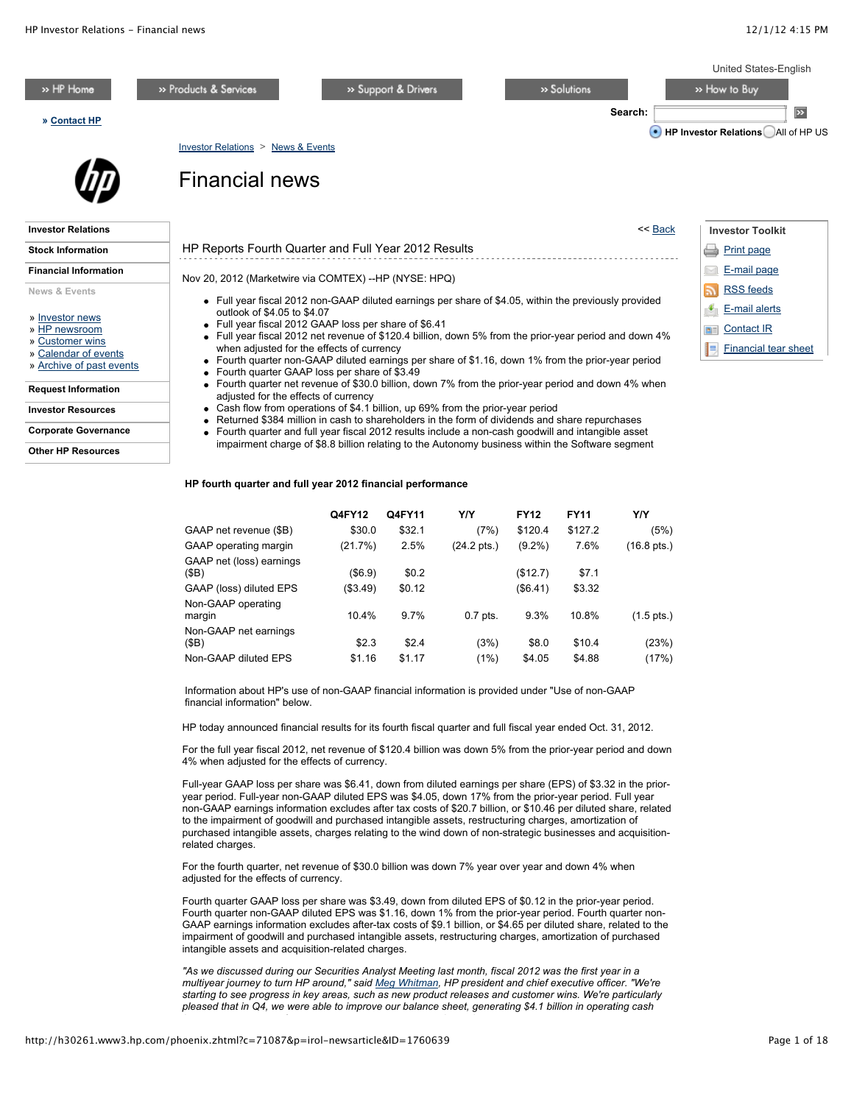|                                                  |                                                                                                                                                                                  | <b>United States-English</b>         |
|--------------------------------------------------|----------------------------------------------------------------------------------------------------------------------------------------------------------------------------------|--------------------------------------|
| » HP Home                                        | » Solutions<br>» Products & Services<br>» Support & Drivers                                                                                                                      | » How to Buy                         |
| » Contact HP                                     | Search:                                                                                                                                                                          | $\overline{\triangleright}$          |
|                                                  |                                                                                                                                                                                  | • HP Investor Relations All of HP US |
|                                                  | <b>Investor Relations &gt; News &amp; Events</b>                                                                                                                                 |                                      |
|                                                  | <b>Financial news</b>                                                                                                                                                            |                                      |
| <b>Investor Relations</b>                        | << Back                                                                                                                                                                          | <b>Investor Toolkit</b>              |
| <b>Stock Information</b>                         | HP Reports Fourth Quarter and Full Year 2012 Results                                                                                                                             | ڪ<br>Print page                      |
| <b>Financial Information</b>                     | Nov 20, 2012 (Marketwire via COMTEX) -- HP (NYSE: HPQ)                                                                                                                           | E-mail page<br>N                     |
| <b>News &amp; Events</b>                         | • Full year fiscal 2012 non-GAAP diluted earnings per share of \$4.05, within the previously provided                                                                            | 5<br><b>RSS feeds</b>                |
| » Investor news                                  | outlook of \$4.05 to \$4.07                                                                                                                                                      | E-mail alerts<br>$\mathbf{r}$        |
| » HP newsroom<br>» Customer wins                 | • Full year fiscal 2012 GAAP loss per share of \$6.41<br>• Full year fiscal 2012 net revenue of \$120.4 billion, down 5% from the prior-year period and down 4%                  | 画目<br><b>Contact IR</b>              |
| » Calendar of events<br>» Archive of past events | when adjusted for the effects of currency<br>• Fourth quarter non-GAAP diluted earnings per share of \$1.16, down 1% from the prior-year period                                  | Financial tear sheet                 |
|                                                  | Fourth quarter GAAP loss per share of \$3.49<br>• Fourth quarter net revenue of \$30.0 billion, down 7% from the prior-year period and down 4% when                              |                                      |
| <b>Request Information</b>                       | adjusted for the effects of currency                                                                                                                                             |                                      |
| <b>Investor Resources</b>                        | • Cash flow from operations of \$4.1 billion, up 69% from the prior-year period<br>Returned \$384 million in cash to shareholders in the form of dividends and share repurchases |                                      |
| <b>Corporate Governance</b>                      | • Fourth quarter and full year fiscal 2012 results include a non-cash goodwill and intangible asset                                                                              |                                      |
| <b>Other HP Resources</b>                        | impairment charge of \$8.8 billion relating to the Autonomy business within the Software segment                                                                                 |                                      |

# **HP fourth quarter and full year 2012 financial performance**

|                                   | Q4FY12     | Q4FY11 | <b>Y/Y</b>            | <b>FY12</b> | <b>FY11</b> | <b>Y/Y</b>            |
|-----------------------------------|------------|--------|-----------------------|-------------|-------------|-----------------------|
| GAAP net revenue (\$B)            | \$30.0     | \$32.1 | (7%)                  | \$120.4     | \$127.2     | (5%)                  |
| GAAP operating margin             | (21.7%)    | 2.5%   | $(24.2 \text{ pts.})$ | $(9.2\%)$   | 7.6%        | $(16.8 \text{ pts.})$ |
| GAAP net (loss) earnings<br>(\$B) | (\$6.9)    | \$0.2  |                       | (\$12.7)    | \$7.1       |                       |
| GAAP (loss) diluted EPS           | $(\$3.49)$ | \$0.12 |                       | (\$6.41)    | \$3.32      |                       |
| Non-GAAP operating<br>margin      | 10.4%      | 9.7%   | $0.7$ pts.            | 9.3%        | 10.8%       | $(1.5 \text{ pts.})$  |
| Non-GAAP net earnings<br>(\$B)    | \$2.3      | \$2.4  | (3%)                  | \$8.0       | \$10.4      | (23%)                 |
| Non-GAAP diluted EPS              | \$1.16     | \$1.17 | (1%)                  | \$4.05      | \$4.88      | (17%)                 |

Information about HP's use of non-GAAP financial information is provided under "Use of non-GAAP financial information" below.

HP today announced financial results for its fourth fiscal quarter and full fiscal year ended Oct. 31, 2012.

For the full year fiscal 2012, net revenue of \$120.4 billion was down 5% from the prior-year period and down 4% when adjusted for the effects of currency.

Full-year GAAP loss per share was \$6.41, down from diluted earnings per share (EPS) of \$3.32 in the prioryear period. Full-year non-GAAP diluted EPS was \$4.05, down 17% from the prior-year period. Full year non-GAAP earnings information excludes after tax costs of \$20.7 billion, or \$10.46 per diluted share, related to the impairment of goodwill and purchased intangible assets, restructuring charges, amortization of purchased intangible assets, charges relating to the wind down of non-strategic businesses and acquisitionrelated charges.

For the fourth quarter, net revenue of \$30.0 billion was down 7% year over year and down 4% when adjusted for the effects of currency.

Fourth quarter GAAP loss per share was \$3.49, down from diluted EPS of \$0.12 in the prior-year period. Fourth quarter non-GAAP diluted EPS was \$1.16, down 1% from the prior-year period. Fourth quarter non-GAAP earnings information excludes after-tax costs of \$9.1 billion, or \$4.65 per diluted share, related to the impairment of goodwill and purchased intangible assets, restructuring charges, amortization of purchased intangible assets and acquisition-related charges.

*"As we discussed during our Securities Analyst Meeting last month, fiscal 2012 was the first year in a multiyear journey to turn HP around," said [Meg Whitman,](http://ctt.marketwire.com/?release=956261&id=2309809&type=1&url=http%3a%2f%2fwww8.hp.com%2fus%2fen%2fcompany-information%2fexecutive-team%2fmeg-whitman.html) HP president and chief executive officer. "We're starting to see progress in key areas, such as new product releases and customer wins. We're particularly pleased that in Q4, we were able to improve our balance sheet, generating \$4.1 billion in operating cash*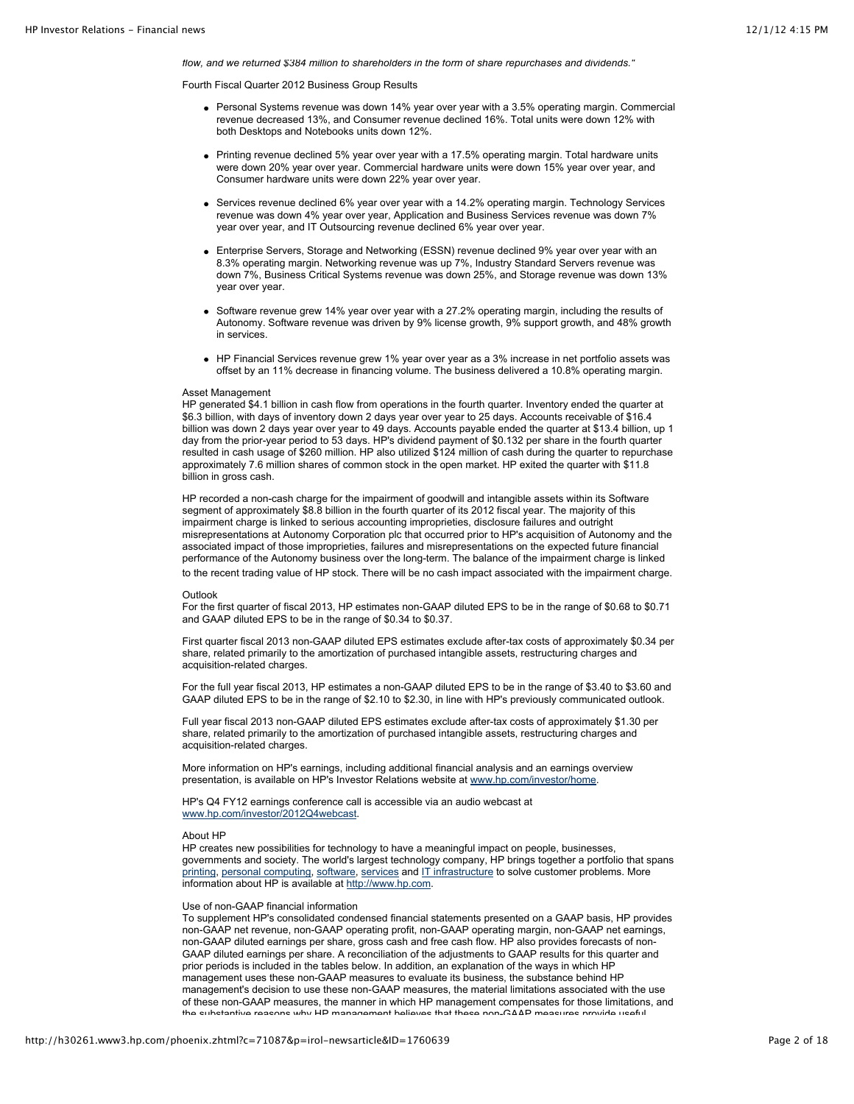*flow, and we returned \$384 million to shareholders in the form of share repurchases and dividends."*

Fourth Fiscal Quarter 2012 Business Group Results

- Personal Systems revenue was down 14% year over year with a 3.5% operating margin. Commercial revenue decreased 13%, and Consumer revenue declined 16%. Total units were down 12% with both Desktops and Notebooks units down 12%.
- Printing revenue declined 5% year over year with a 17.5% operating margin. Total hardware units were down 20% year over year. Commercial hardware units were down 15% year over year, and Consumer hardware units were down 22% year over year.
- **Services revenue declined 6% year over year with a 14.2% operating margin. Technology Services** revenue was down 4% year over year, Application and Business Services revenue was down 7% year over year, and IT Outsourcing revenue declined 6% year over year.
- Enterprise Servers, Storage and Networking (ESSN) revenue declined 9% year over year with an 8.3% operating margin. Networking revenue was up 7%, Industry Standard Servers revenue was down 7%, Business Critical Systems revenue was down 25%, and Storage revenue was down 13% year over year.
- Software revenue grew 14% year over year with a 27.2% operating margin, including the results of Autonomy. Software revenue was driven by 9% license growth, 9% support growth, and 48% growth in services.
- HP Financial Services revenue grew 1% year over year as a 3% increase in net portfolio assets was offset by an 11% decrease in financing volume. The business delivered a 10.8% operating margin.

#### Asset Management

HP generated \$4.1 billion in cash flow from operations in the fourth quarter. Inventory ended the quarter at \$6.3 billion, with days of inventory down 2 days year over year to 25 days. Accounts receivable of \$16.4 billion was down 2 days year over year to 49 days. Accounts payable ended the quarter at \$13.4 billion, up 1 day from the prior-year period to 53 days. HP's dividend payment of \$0.132 per share in the fourth quarter resulted in cash usage of \$260 million. HP also utilized \$124 million of cash during the quarter to repurchase approximately 7.6 million shares of common stock in the open market. HP exited the quarter with \$11.8 billion in gross cash.

HP recorded a non-cash charge for the impairment of goodwill and intangible assets within its Software segment of approximately \$8.8 billion in the fourth quarter of its 2012 fiscal year. The majority of this impairment charge is linked to serious accounting improprieties, disclosure failures and outright misrepresentations at Autonomy Corporation plc that occurred prior to HP's acquisition of Autonomy and the associated impact of those improprieties, failures and misrepresentations on the expected future financial performance of the Autonomy business over the long-term. The balance of the impairment charge is linked to the recent trading value of HP stock. There will be no cash impact associated with the impairment charge.

#### **Outlook**

For the first quarter of fiscal 2013, HP estimates non-GAAP diluted EPS to be in the range of \$0.68 to \$0.71 and GAAP diluted EPS to be in the range of \$0.34 to \$0.37.

First quarter fiscal 2013 non-GAAP diluted EPS estimates exclude after-tax costs of approximately \$0.34 per share, related primarily to the amortization of purchased intangible assets, restructuring charges and acquisition-related charges.

For the full year fiscal 2013, HP estimates a non-GAAP diluted EPS to be in the range of \$3.40 to \$3.60 and GAAP diluted EPS to be in the range of \$2.10 to \$2.30, in line with HP's previously communicated outlook.

Full year fiscal 2013 non-GAAP diluted EPS estimates exclude after-tax costs of approximately \$1.30 per share, related primarily to the amortization of purchased intangible assets, restructuring charges and acquisition-related charges.

More information on HP's earnings, including additional financial analysis and an earnings overview presentation, is available on HP's Investor Relations website at [www.hp.com/investor/home.](http://ctt.marketwire.com/?release=956261&id=2309812&type=1&url=http%3a%2f%2fwww.hp.com%2finvestor%2fhome)

HP's Q4 FY12 earnings conference call is accessible via an audio webcast at [www.hp.com/investor/2012Q4webcast.](http://ctt.marketwire.com/?release=956261&id=2309815&type=1&url=http%3a%2f%2fwww.hp.com%2finvestor%2f2012Q4webcast)

#### About HP

HP creates new possibilities for technology to have a meaningful impact on people, businesses, governments and society. The world's largest technology company, HP brings together a portfolio that spans [printing,](http://ctt.marketwire.com/?release=956261&id=2309818&type=1&url=http%3a%2f%2fwww.hp.com%2fprinters) [personal computing](http://ctt.marketwire.com/?release=956261&id=2309821&type=1&url=http%3a%2f%2fwww.hp.com%2fcountry%2fus%2fen%2fprodserv%2fcomputers.html), [software](http://ctt.marketwire.com/?release=956261&id=2309824&type=1&url=http%3a%2f%2fwww8.hp.com%2fus%2fen%2fsoftware%2fenterprise-software.html), [services](http://ctt.marketwire.com/?release=956261&id=2309827&type=1&url=http%3a%2f%2fwww8.hp.com%2fus%2fen%2fservices%2fit-services.html) and [IT infrastructure](http://ctt.marketwire.com/?release=956261&id=2309830&type=1&url=http%3a%2f%2fwww8.hp.com%2fus%2fen%2fsolutions%2fsolutions-detail.html%3fcompURI%3dtcm:245-785656) to solve customer problems. More information about HP is available at [http://www.hp.com.](http://ctt.marketwire.com/?release=956261&id=2309833&type=1&url=http%3a%2f%2fwww.hp.com%2f)

### Use of non-GAAP financial information

To supplement HP's consolidated condensed financial statements presented on a GAAP basis, HP provides non-GAAP net revenue, non-GAAP operating profit, non-GAAP operating margin, non-GAAP net earnings, non-GAAP diluted earnings per share, gross cash and free cash flow. HP also provides forecasts of non-GAAP diluted earnings per share. A reconciliation of the adjustments to GAAP results for this quarter and prior periods is included in the tables below. In addition, an explanation of the ways in which HP management uses these non-GAAP measures to evaluate its business, the substance behind HP management's decision to use these non-GAAP measures, the material limitations associated with the use of these non-GAAP measures, the manner in which HP management compensates for those limitations, and the substantive reasons why HP management believes that these non-GAAP measures provide useful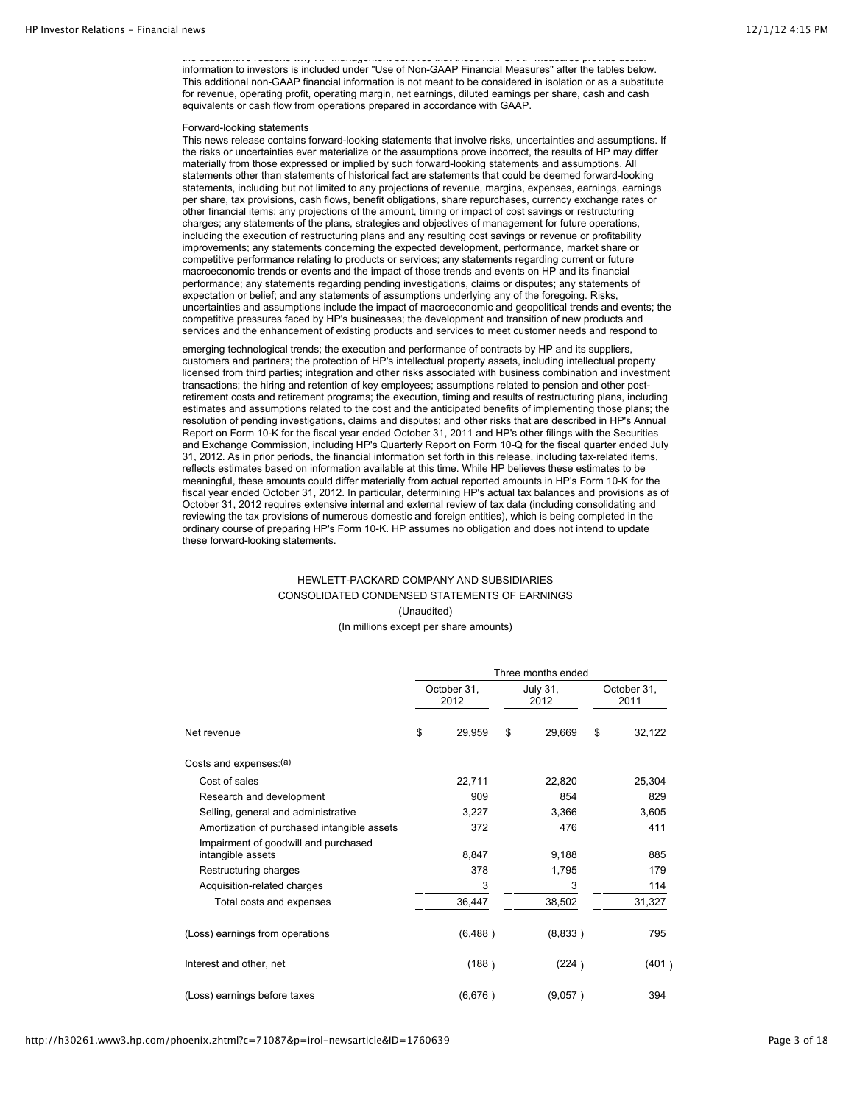the substantive reasons why HP management believes that these non-GAAP measures provide useful information to investors is included under "Use of Non-GAAP Financial Measures" after the tables below. This additional non-GAAP financial information is not meant to be considered in isolation or as a substitute for revenue, operating profit, operating margin, net earnings, diluted earnings per share, cash and cash equivalents or cash flow from operations prepared in accordance with GAAP.

## Forward-looking statements

This news release contains forward-looking statements that involve risks, uncertainties and assumptions. If the risks or uncertainties ever materialize or the assumptions prove incorrect, the results of HP may differ materially from those expressed or implied by such forward-looking statements and assumptions. All statements other than statements of historical fact are statements that could be deemed forward-looking statements, including but not limited to any projections of revenue, margins, expenses, earnings, earnings per share, tax provisions, cash flows, benefit obligations, share repurchases, currency exchange rates or other financial items; any projections of the amount, timing or impact of cost savings or restructuring charges; any statements of the plans, strategies and objectives of management for future operations, including the execution of restructuring plans and any resulting cost savings or revenue or profitability improvements; any statements concerning the expected development, performance, market share or competitive performance relating to products or services; any statements regarding current or future macroeconomic trends or events and the impact of those trends and events on HP and its financial performance; any statements regarding pending investigations, claims or disputes; any statements of expectation or belief; and any statements of assumptions underlying any of the foregoing. Risks, uncertainties and assumptions include the impact of macroeconomic and geopolitical trends and events; the competitive pressures faced by HP's businesses; the development and transition of new products and services and the enhancement of existing products and services to meet customer needs and respond to

emerging technological trends; the execution and performance of contracts by HP and its suppliers, customers and partners; the protection of HP's intellectual property assets, including intellectual property licensed from third parties; integration and other risks associated with business combination and investment transactions; the hiring and retention of key employees; assumptions related to pension and other postretirement costs and retirement programs; the execution, timing and results of restructuring plans, including estimates and assumptions related to the cost and the anticipated benefits of implementing those plans; the resolution of pending investigations, claims and disputes; and other risks that are described in HP's Annual Report on Form 10-K for the fiscal year ended October 31, 2011 and HP's other filings with the Securities and Exchange Commission, including HP's Quarterly Report on Form 10-Q for the fiscal quarter ended July 31, 2012. As in prior periods, the financial information set forth in this release, including tax-related items, reflects estimates based on information available at this time. While HP believes these estimates to be meaningful, these amounts could differ materially from actual reported amounts in HP's Form 10-K for the fiscal year ended October 31, 2012. In particular, determining HP's actual tax balances and provisions as of October 31, 2012 requires extensive internal and external review of tax data (including consolidating and reviewing the tax provisions of numerous domestic and foreign entities), which is being completed in the ordinary course of preparing HP's Form 10-K. HP assumes no obligation and does not intend to update these forward-looking statements.

# HEWLETT-PACKARD COMPANY AND SUBSIDIARIES CONSOLIDATED CONDENSED STATEMENTS OF EARNINGS (Unaudited)

(In millions except per share amounts)

|                                                           | Three months ended |                     |    |                  |    |                     |  |  |  |
|-----------------------------------------------------------|--------------------|---------------------|----|------------------|----|---------------------|--|--|--|
|                                                           |                    | October 31,<br>2012 |    | July 31,<br>2012 |    | October 31,<br>2011 |  |  |  |
| Net revenue                                               | \$                 | 29,959              | \$ | 29,669           | \$ | 32,122              |  |  |  |
| Costs and expenses: (a)                                   |                    |                     |    |                  |    |                     |  |  |  |
| Cost of sales                                             |                    | 22,711              |    | 22,820           |    | 25,304              |  |  |  |
| Research and development                                  |                    | 909                 |    | 854              |    | 829                 |  |  |  |
| Selling, general and administrative                       |                    | 3,227               |    | 3,366            |    | 3,605               |  |  |  |
| Amortization of purchased intangible assets               |                    | 372                 |    | 476              |    | 411                 |  |  |  |
| Impairment of goodwill and purchased<br>intangible assets |                    | 8,847               |    | 9,188            |    | 885                 |  |  |  |
| Restructuring charges                                     |                    | 378                 |    | 1,795            |    | 179                 |  |  |  |
| Acquisition-related charges                               |                    | 3                   |    | 3                |    | 114                 |  |  |  |
| Total costs and expenses                                  |                    | 36,447              |    | 38,502           |    | 31,327              |  |  |  |
| (Loss) earnings from operations                           |                    | (6,488)             |    | (8,833)          |    | 795                 |  |  |  |
| Interest and other, net                                   |                    | (188)               |    | (224)            |    | (401)               |  |  |  |
| (Loss) earnings before taxes                              |                    | (6,676)             |    | (9,057)          |    | 394                 |  |  |  |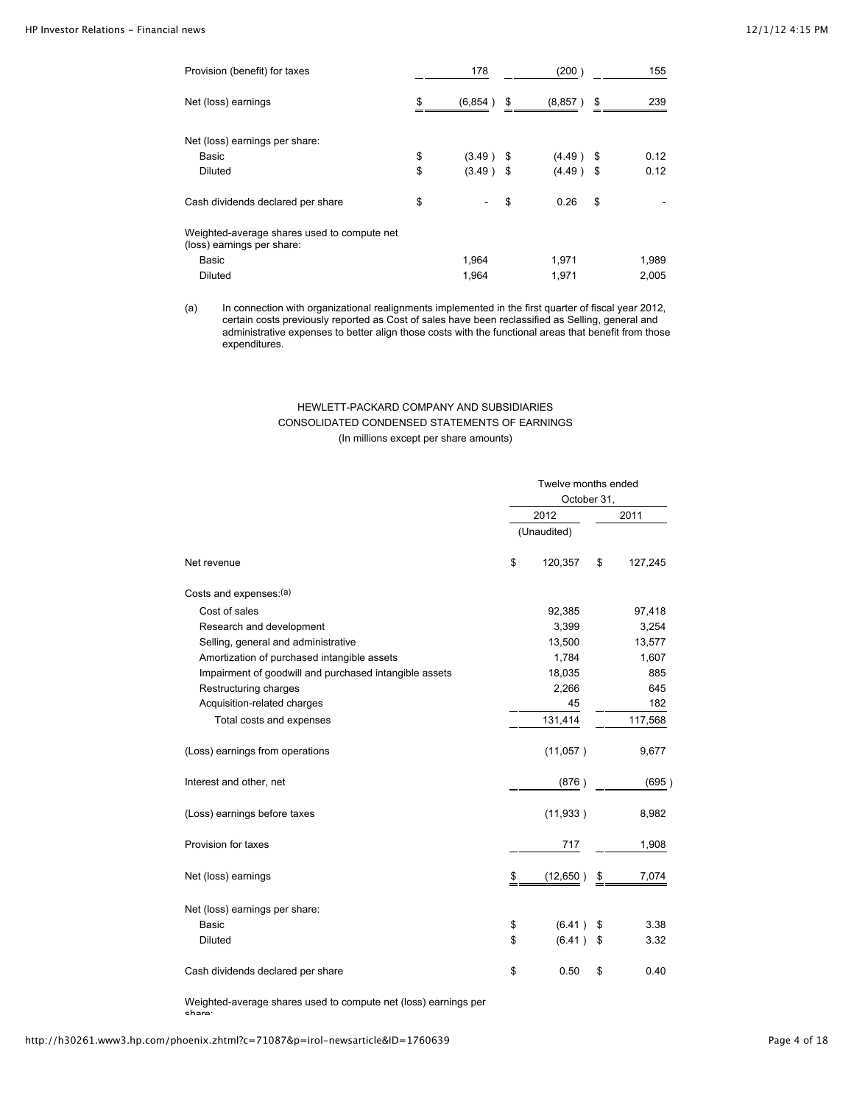| Provision (benefit) for taxes                                             | 178               | (200)          | 155       |
|---------------------------------------------------------------------------|-------------------|----------------|-----------|
| Net (loss) earnings                                                       | \$<br>(6, 854)    | \$<br>(8, 857) | \$<br>239 |
| Net (loss) earnings per share:                                            |                   |                |           |
| Basic                                                                     | \$<br>$(3.49)$ \$ | $(4.49)$ \$    | 0.12      |
| <b>Diluted</b>                                                            | \$<br>$(3.49)$ \$ | $(4.49)$ \$    | 0.12      |
| Cash dividends declared per share                                         | \$                | \$<br>0.26     | \$        |
| Weighted-average shares used to compute net<br>(loss) earnings per share: |                   |                |           |
| Basic                                                                     | 1,964             | 1,971          | 1,989     |
| <b>Diluted</b>                                                            | 1,964             | 1,971          | 2,005     |

(a) In connection with organizational realignments implemented in the first quarter of fiscal year 2012, certain costs previously reported as Cost of sales have been reclassified as Selling, general and administrative expenses to better align those costs with the functional areas that benefit from those expenditures.

# HEWLETT-PACKARD COMPANY AND SUBSIDIARIES CONSOLIDATED CONDENSED STATEMENTS OF EARNINGS (In millions except per share amounts)

|                                                        | Twelve months ended<br>October 31, |             |    |         |  |  |
|--------------------------------------------------------|------------------------------------|-------------|----|---------|--|--|
|                                                        |                                    | 2012        |    | 2011    |  |  |
|                                                        |                                    | (Unaudited) |    |         |  |  |
| Net revenue                                            | \$                                 | 120,357     | \$ | 127,245 |  |  |
| Costs and expenses: (a)                                |                                    |             |    |         |  |  |
| Cost of sales                                          |                                    | 92,385      |    | 97,418  |  |  |
| Research and development                               |                                    | 3,399       |    | 3,254   |  |  |
| Selling, general and administrative                    |                                    | 13,500      |    | 13,577  |  |  |
| Amortization of purchased intangible assets            |                                    | 1,784       |    | 1,607   |  |  |
| Impairment of goodwill and purchased intangible assets |                                    | 18,035      |    | 885     |  |  |
| Restructuring charges                                  |                                    | 2,266       |    | 645     |  |  |
| Acquisition-related charges                            |                                    | 45          |    | 182     |  |  |
| Total costs and expenses                               |                                    | 131,414     |    | 117,568 |  |  |
| (Loss) earnings from operations                        |                                    | (11,057)    |    | 9,677   |  |  |
| Interest and other, net                                |                                    | (876)       |    | (695)   |  |  |
| (Loss) earnings before taxes                           |                                    | (11, 933)   |    | 8,982   |  |  |
| Provision for taxes                                    |                                    | 717         |    | 1,908   |  |  |
| Net (loss) earnings                                    | \$                                 | (12,650)    | \$ | 7,074   |  |  |
| Net (loss) earnings per share:                         |                                    |             |    |         |  |  |
| <b>Basic</b>                                           | \$                                 | (6.41)      | \$ | 3.38    |  |  |
| Diluted                                                | \$                                 | $(6.41)$ \$ |    | 3.32    |  |  |
| Cash dividends declared per share                      | \$                                 | 0.50        | \$ | 0.40    |  |  |

Weighted-average shares used to compute net (loss) earnings per share: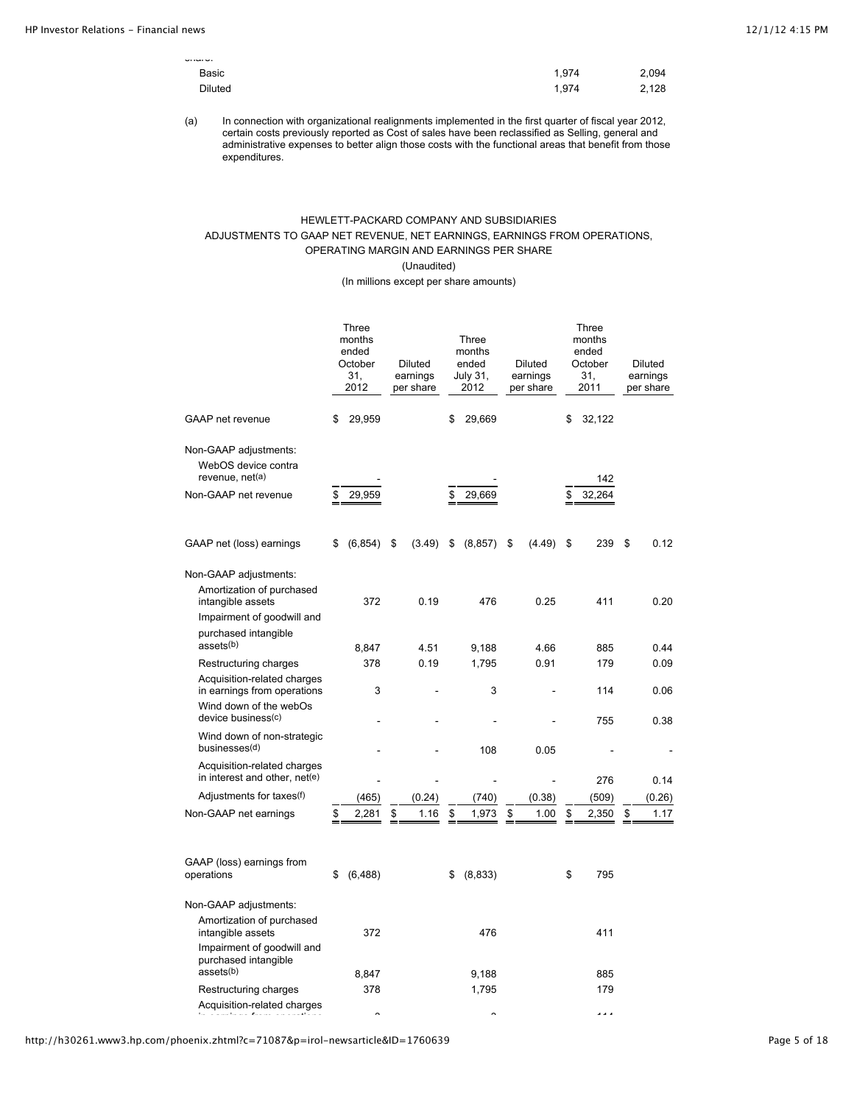| O(100V)        |       |       |
|----------------|-------|-------|
| Basic          | 1.974 | 2,094 |
| <b>Diluted</b> | 1,974 | 2,128 |

(a) In connection with organizational realignments implemented in the first quarter of fiscal year 2012, certain costs previously reported as Cost of sales have been reclassified as Selling, general and administrative expenses to better align those costs with the functional areas that benefit from those expenditures.

## HEWLETT-PACKARD COMPANY AND SUBSIDIARIES ADJUSTMENTS TO GAAP NET REVENUE, NET EARNINGS, EARNINGS FROM OPERATIONS, OPERATING MARGIN AND EARNINGS PER SHARE (Unaudited)

(In millions except per share amounts)

|                                                                              |               | Three<br>months<br>ended<br>October<br>31,<br>2012 | <b>Diluted</b><br>earnings<br>per share | Three<br>months<br>ended<br>July 31,<br>2012 | <b>Diluted</b><br>earnings<br>per share | Three<br>months<br>ended<br>October<br>31,<br>2011 | <b>Diluted</b><br>earnings<br>per share |
|------------------------------------------------------------------------------|---------------|----------------------------------------------------|-----------------------------------------|----------------------------------------------|-----------------------------------------|----------------------------------------------------|-----------------------------------------|
| <b>GAAP</b> net revenue                                                      | S             | 29,959                                             |                                         | \$<br>29,669                                 |                                         | \$<br>32,122                                       |                                         |
| Non-GAAP adjustments:<br>WebOS device contra<br>revenue, net(a)              |               |                                                    |                                         |                                              |                                         | 142                                                |                                         |
| Non-GAAP net revenue                                                         | \$            | 29,959                                             |                                         | \$<br>29,669                                 |                                         | \$<br>32,264                                       |                                         |
| GAAP net (loss) earnings                                                     | \$            | (6, 854)                                           | \$<br>(3.49)                            | \$<br>(8, 857)                               | \$<br>(4.49)                            | \$<br>239                                          | \$<br>0.12                              |
| Non-GAAP adjustments:                                                        |               |                                                    |                                         |                                              |                                         |                                                    |                                         |
| Amortization of purchased<br>intangible assets<br>Impairment of goodwill and |               | 372                                                | 0.19                                    | 476                                          | 0.25                                    | 411                                                | 0.20                                    |
| purchased intangible<br>assets(b)                                            |               | 8,847                                              | 4.51                                    | 9,188                                        | 4.66                                    | 885                                                | 0.44                                    |
| Restructuring charges                                                        |               | 378                                                | 0.19                                    | 1,795                                        | 0.91                                    | 179                                                | 0.09                                    |
| Acquisition-related charges<br>in earnings from operations                   |               | 3                                                  |                                         | 3                                            |                                         | 114                                                | 0.06                                    |
| Wind down of the webOs<br>device business(c)                                 |               |                                                    |                                         |                                              |                                         | 755                                                | 0.38                                    |
| Wind down of non-strategic<br>businesses(d)                                  |               |                                                    |                                         | 108                                          | 0.05                                    |                                                    |                                         |
| Acquisition-related charges<br>in interest and other, net(e)                 |               |                                                    |                                         |                                              |                                         | 276                                                | 0.14                                    |
| Adjustments for taxes(f)                                                     |               | (465)                                              | (0.24)                                  | (740)                                        | (0.38)                                  | (509)                                              | (0.26)                                  |
| Non-GAAP net earnings                                                        | $\frac{1}{2}$ | 2,281                                              | \$<br>1.16                              | \$<br>1,973                                  | \$<br>1.00                              | \$<br>2,350                                        | \$<br>1.17                              |
| GAAP (loss) earnings from<br>operations                                      | \$            | (6, 488)                                           |                                         | \$<br>(8, 833)                               |                                         | \$<br>795                                          |                                         |
| Non-GAAP adjustments:                                                        |               |                                                    |                                         |                                              |                                         |                                                    |                                         |
| Amortization of purchased<br>intangible assets                               |               | 372                                                |                                         | 476                                          |                                         | 411                                                |                                         |
| Impairment of goodwill and<br>purchased intangible<br>assets(b)              |               | 8,847                                              |                                         | 9,188                                        |                                         | 885                                                |                                         |
| Restructuring charges<br>Acquisition-related charges                         |               | 378                                                |                                         | 1,795                                        |                                         | 179                                                |                                         |

in earnings from operations 3 3 114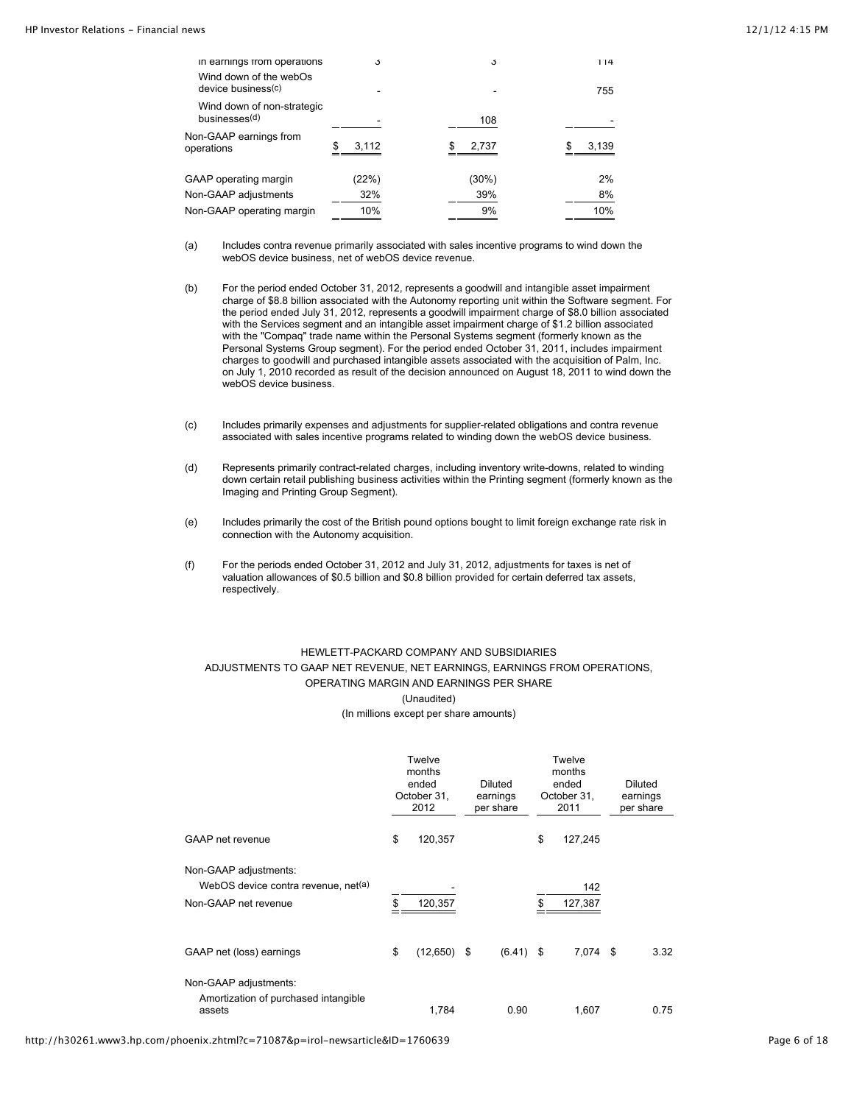| in earnings from operations                       | J.    | J     | 114   |
|---------------------------------------------------|-------|-------|-------|
| Wind down of the webOs<br>$device$ business $(c)$ |       |       | 755   |
| Wind down of non-strategic<br>businesses $(d)$    |       | 108   |       |
| Non-GAAP earnings from<br>operations              | 3,112 | 2,737 | 3,139 |
| GAAP operating margin                             | (22%) | (30%) | 2%    |
| Non-GAAP adjustments                              | 32%   | 39%   | 8%    |
| Non-GAAP operating margin                         | 10%   | 9%    | 10%   |
|                                                   |       |       |       |

(a) Includes contra revenue primarily associated with sales incentive programs to wind down the webOS device business, net of webOS device revenue.

- (b) For the period ended October 31, 2012, represents a goodwill and intangible asset impairment charge of \$8.8 billion associated with the Autonomy reporting unit within the Software segment. For the period ended July 31, 2012, represents a goodwill impairment charge of \$8.0 billion associated with the Services segment and an intangible asset impairment charge of \$1.2 billion associated with the "Compaq" trade name within the Personal Systems segment (formerly known as the Personal Systems Group segment). For the period ended October 31, 2011, includes impairment charges to goodwill and purchased intangible assets associated with the acquisition of Palm, Inc. on July 1, 2010 recorded as result of the decision announced on August 18, 2011 to wind down the webOS device business.
- (c) Includes primarily expenses and adjustments for supplier-related obligations and contra revenue associated with sales incentive programs related to winding down the webOS device business.
- (d) Represents primarily contract-related charges, including inventory write-downs, related to winding down certain retail publishing business activities within the Printing segment (formerly known as the Imaging and Printing Group Segment).
- (e) Includes primarily the cost of the British pound options bought to limit foreign exchange rate risk in connection with the Autonomy acquisition.
- (f) For the periods ended October 31, 2012 and July 31, 2012, adjustments for taxes is net of valuation allowances of \$0.5 billion and \$0.8 billion provided for certain deferred tax assets, respectively.

# HEWLETT-PACKARD COMPANY AND SUBSIDIARIES ADJUSTMENTS TO GAAP NET REVENUE, NET EARNINGS, EARNINGS FROM OPERATIONS, OPERATING MARGIN AND EARNINGS PER SHARE (Unaudited)

(In millions except per share amounts)

|                                                                                      | Twelve<br>months<br>ended<br>October 31,<br>2012 |               | Diluted<br>earnings<br>per share |    | Twelve<br>months<br>ended<br>October 31,<br>2011 | Diluted<br>earnings<br>per share |
|--------------------------------------------------------------------------------------|--------------------------------------------------|---------------|----------------------------------|----|--------------------------------------------------|----------------------------------|
| GAAP net revenue                                                                     | \$                                               | 120,357       |                                  | \$ | 127,245                                          |                                  |
| Non-GAAP adjustments:<br>WebOS device contra revenue, net(a)<br>Non-GAAP net revenue | \$                                               | 120.357       |                                  | \$ | 142<br>127.387                                   |                                  |
| GAAP net (loss) earnings                                                             | \$                                               | $(12,650)$ \$ | $(6.41)$ \$                      |    | 7,074 \$                                         | 3.32                             |
| Non-GAAP adjustments:<br>Amortization of purchased intangible<br>assets              |                                                  | 1.784         | 0.90                             |    | 1,607                                            | 0.75                             |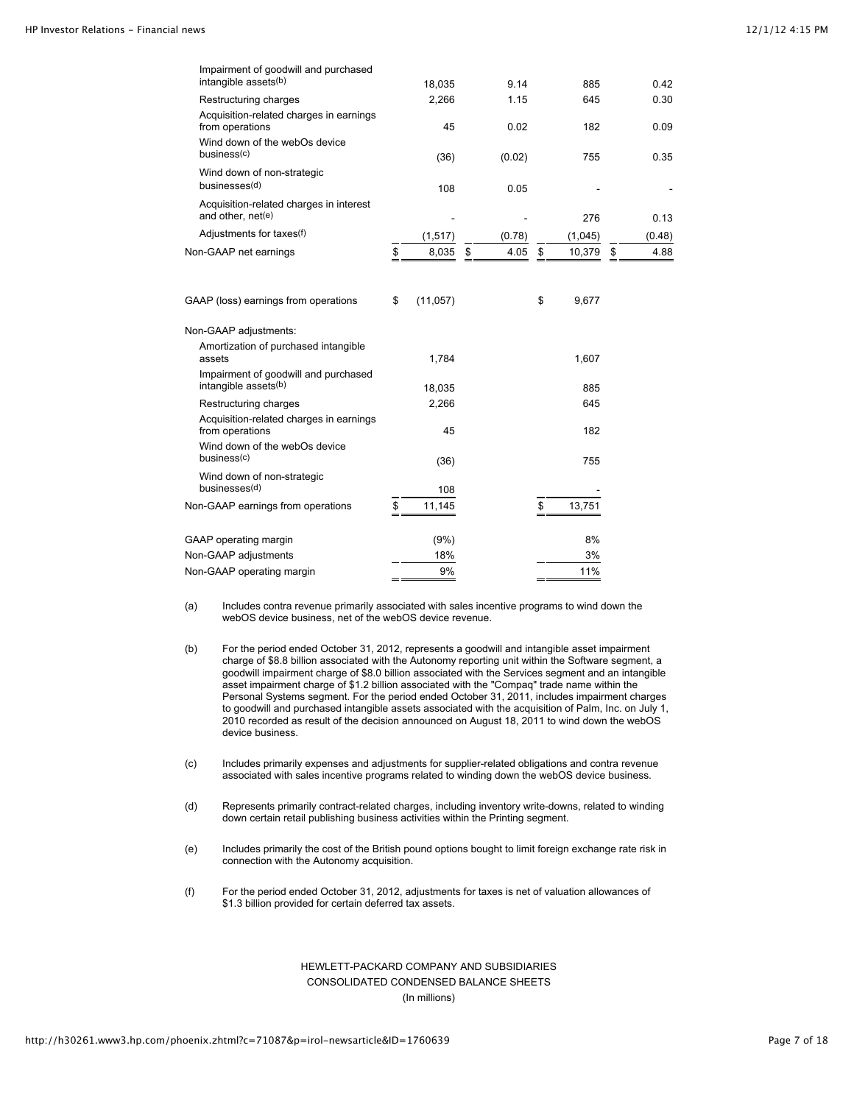| Impairment of goodwill and purchased<br>intangible assets(b) | 18,035         | 9.14       | 885          | 0.42       |
|--------------------------------------------------------------|----------------|------------|--------------|------------|
| Restructuring charges                                        | 2,266          | 1.15       | 645          | 0.30       |
| Acquisition-related charges in earnings<br>from operations   | 45             | 0.02       | 182          | 0.09       |
| Wind down of the webOs device<br>business(c)                 | (36)           | (0.02)     | 755          | 0.35       |
| Wind down of non-strategic<br>businesses(d)                  | 108            | 0.05       |              |            |
| Acquisition-related charges in interest<br>and other, net(e) |                |            | 276          | 0.13       |
| Adjustments for taxes(f)                                     | (1, 517)       | (0.78)     | (1,045)      | (0.48)     |
| Non-GAAP net earnings                                        | \$<br>8,035    | 4.05<br>\$ | \$<br>10,379 | \$<br>4.88 |
|                                                              |                |            |              |            |
| GAAP (loss) earnings from operations                         | \$<br>(11,057) |            | \$<br>9,677  |            |
| Non-GAAP adjustments:                                        |                |            |              |            |
| Amortization of purchased intangible<br>assets               | 1,784          |            | 1,607        |            |
| Impairment of goodwill and purchased<br>intangible assets(b) | 18,035         |            | 885          |            |
| Restructuring charges                                        | 2,266          |            | 645          |            |
| Acquisition-related charges in earnings<br>from operations   | 45             |            | 182          |            |
| Wind down of the webOs device<br>business(c)                 | (36)           |            | 755          |            |
| Wind down of non-strategic<br>businesses(d)                  | 108            |            |              |            |
| Non-GAAP earnings from operations                            | \$<br>11,145   |            | \$<br>13,751 |            |
| GAAP operating margin                                        | (9%)           |            | 8%           |            |
| Non-GAAP adjustments                                         | 18%            |            | 3%           |            |
| Non-GAAP operating margin                                    | 9%             |            | 11%          |            |
|                                                              |                |            |              |            |

(a) Includes contra revenue primarily associated with sales incentive programs to wind down the webOS device business, net of the webOS device revenue.

- (b) For the period ended October 31, 2012, represents a goodwill and intangible asset impairment charge of \$8.8 billion associated with the Autonomy reporting unit within the Software segment, a goodwill impairment charge of \$8.0 billion associated with the Services segment and an intangible asset impairment charge of \$1.2 billion associated with the "Compaq" trade name within the Personal Systems segment. For the period ended October 31, 2011, includes impairment charges to goodwill and purchased intangible assets associated with the acquisition of Palm, Inc. on July 1, 2010 recorded as result of the decision announced on August 18, 2011 to wind down the webOS device business.
- (c) Includes primarily expenses and adjustments for supplier-related obligations and contra revenue associated with sales incentive programs related to winding down the webOS device business.
- (d) Represents primarily contract-related charges, including inventory write-downs, related to winding down certain retail publishing business activities within the Printing segment.
- (e) Includes primarily the cost of the British pound options bought to limit foreign exchange rate risk in connection with the Autonomy acquisition.
- (f) For the period ended October 31, 2012, adjustments for taxes is net of valuation allowances of \$1.3 billion provided for certain deferred tax assets.

# HEWLETT-PACKARD COMPANY AND SUBSIDIARIES CONSOLIDATED CONDENSED BALANCE SHEETS (In millions)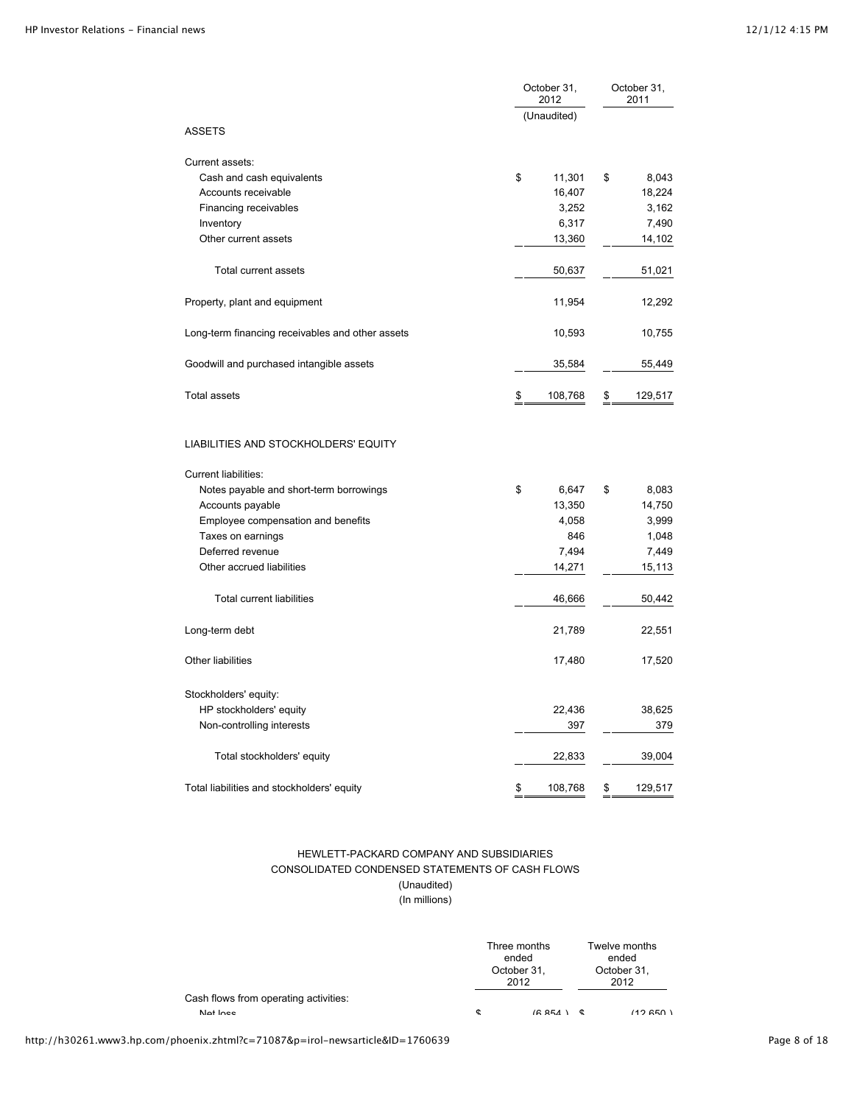|                                                  | October 31,<br>2012 | October 31,<br>2011 |
|--------------------------------------------------|---------------------|---------------------|
|                                                  | (Unaudited)         |                     |
| ASSETS                                           |                     |                     |
| Current assets:                                  |                     |                     |
| Cash and cash equivalents                        | \$<br>11,301        | \$<br>8,043         |
| Accounts receivable                              | 16,407              | 18,224              |
| Financing receivables                            | 3,252               | 3,162               |
| Inventory                                        | 6,317               | 7,490               |
| Other current assets                             | 13,360              | 14,102              |
| Total current assets                             | 50,637              | 51,021              |
| Property, plant and equipment                    | 11,954              | 12,292              |
| Long-term financing receivables and other assets | 10,593              | 10,755              |
| Goodwill and purchased intangible assets         | 35,584              | 55,449              |
| <b>Total assets</b>                              | 108,768<br>\$       | \$<br>129,517       |
| LIABILITIES AND STOCKHOLDERS' EQUITY             |                     |                     |
| Current liabilities:                             |                     |                     |
| Notes payable and short-term borrowings          | \$<br>6,647         | \$<br>8,083         |
| Accounts payable                                 | 13,350              | 14,750              |
| Employee compensation and benefits               | 4,058               | 3,999               |
| Taxes on earnings                                | 846                 | 1,048               |
| Deferred revenue                                 | 7,494               | 7,449               |
| Other accrued liabilities                        | 14,271              | 15,113              |
| Total current liabilities                        | 46,666              | 50,442              |
| Long-term debt                                   | 21,789              | 22,551              |
| Other liabilities                                | 17,480              | 17,520              |
| Stockholders' equity:                            |                     |                     |
| HP stockholders' equity                          | 22,436              | 38,625              |
| Non-controlling interests                        | 397                 | 379                 |
| Total stockholders' equity                       | 22,833              | 39,004              |
| Total liabilities and stockholders' equity       | \$<br>108,768       | \$<br>129,517       |

# HEWLETT-PACKARD COMPANY AND SUBSIDIARIES CONSOLIDATED CONDENSED STATEMENTS OF CASH FLOWS (Unaudited)

(In millions)

|                                       |   | Three months<br>ended<br>October 31,<br>2012 | Twelve months<br>ended<br>October 31,<br>2012 |
|---------------------------------------|---|----------------------------------------------|-----------------------------------------------|
| Cash flows from operating activities: |   |                                              |                                               |
| Net loss                              | ፍ | $(6.854)$ $\sqrt{}$                          | (12.650)                                      |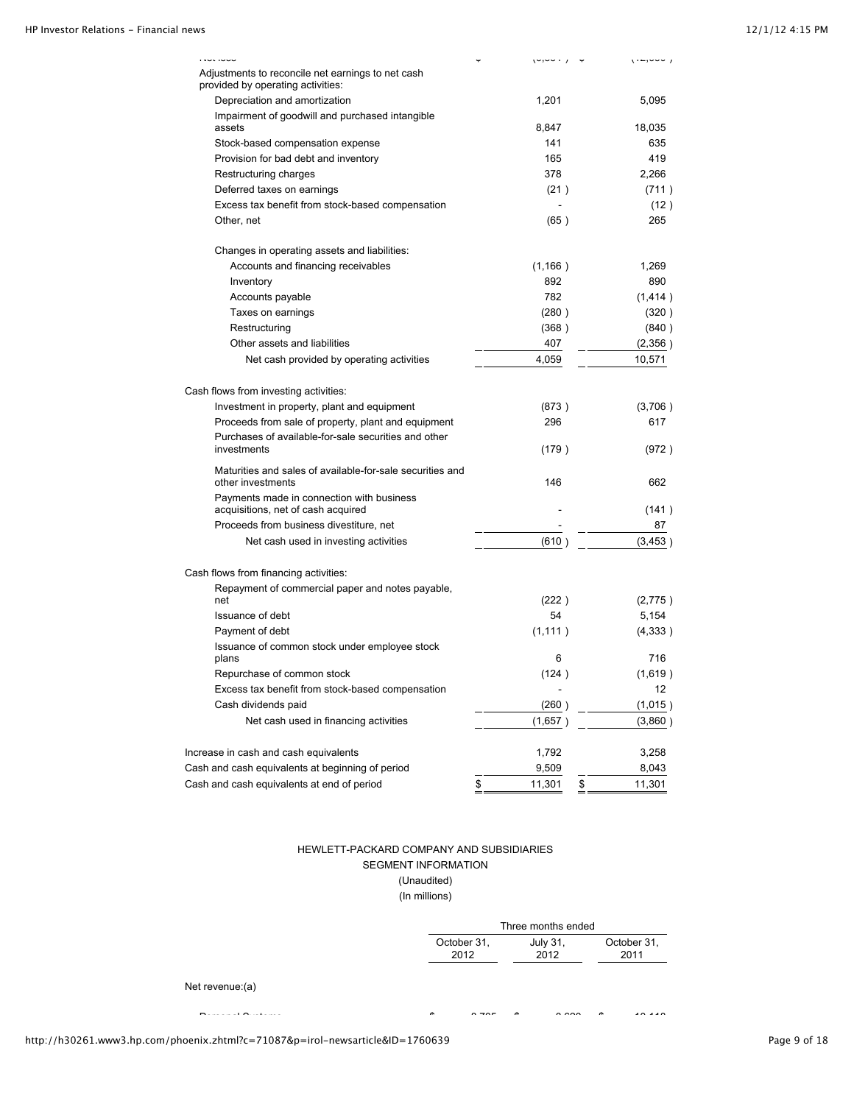| <b>INVERVOU</b>                                                                        | $\mathbf{v}$ , $\mathbf{v}$ , $\mathbf{v}$ | $\sqrt{2}$ |
|----------------------------------------------------------------------------------------|--------------------------------------------|------------|
| Adjustments to reconcile net earnings to net cash<br>provided by operating activities: |                                            |            |
| Depreciation and amortization                                                          | 1,201                                      | 5.095      |
| Impairment of goodwill and purchased intangible                                        |                                            |            |
| assets                                                                                 | 8,847                                      | 18,035     |
| Stock-based compensation expense                                                       | 141                                        | 635        |
| Provision for bad debt and inventory                                                   | 165                                        | 419        |
| Restructuring charges                                                                  | 378                                        | 2,266      |
| Deferred taxes on earnings                                                             | (21)                                       | (711)      |
| Excess tax benefit from stock-based compensation                                       |                                            | (12)       |
| Other, net                                                                             | (65)                                       | 265        |
| Changes in operating assets and liabilities:                                           |                                            |            |
| Accounts and financing receivables                                                     | (1, 166)                                   | 1,269      |
| Inventory                                                                              | 892                                        | 890        |
| Accounts payable                                                                       | 782                                        | (1, 414)   |
| Taxes on earnings                                                                      | (280)                                      | (320)      |
| Restructuring                                                                          | (368)                                      | (840)      |
| Other assets and liabilities                                                           | 407                                        | (2,356)    |
| Net cash provided by operating activities                                              | 4,059                                      | 10,571     |
| Cash flows from investing activities:                                                  |                                            |            |
| Investment in property, plant and equipment                                            | (873)                                      | (3,706)    |
| Proceeds from sale of property, plant and equipment                                    | 296                                        | 617        |
| Purchases of available-for-sale securities and other<br>investments                    | (179)                                      | (972)      |
| Maturities and sales of available-for-sale securities and<br>other investments         | 146                                        | 662        |
| Payments made in connection with business<br>acquisitions, net of cash acquired        |                                            | (141)      |
| Proceeds from business divestiture, net                                                |                                            | 87         |
| Net cash used in investing activities                                                  | (610)                                      | (3, 453)   |
| Cash flows from financing activities:                                                  |                                            |            |
| Repayment of commercial paper and notes payable,                                       |                                            |            |
| net                                                                                    | (222)                                      | (2,775)    |
| Issuance of debt                                                                       | 54                                         | 5,154      |
| Payment of debt                                                                        | (1, 111)                                   | (4,333)    |
| Issuance of common stock under employee stock<br>plans                                 | 6                                          | 716        |
| Repurchase of common stock                                                             | (124)                                      | (1,619)    |
| Excess tax benefit from stock-based compensation                                       |                                            | 12         |
| Cash dividends paid                                                                    | (260)                                      | (1,015)    |
| Net cash used in financing activities                                                  | (1,657)                                    | (3,860)    |
|                                                                                        |                                            |            |
| Increase in cash and cash equivalents                                                  | 1,792                                      | 3,258      |
| Cash and cash equivalents at beginning of period                                       | 9,509                                      | 8,043      |
| Cash and cash equivalents at end of period                                             | \$<br>11,301<br>\$                         | 11,301     |

# HEWLETT-PACKARD COMPANY AND SUBSIDIARIES SEGMENT INFORMATION (Unaudited) (In millions)

|             | Three months ended |             |
|-------------|--------------------|-------------|
| October 31. | July 31,           | October 31. |
| 2012        | 2012               | 2011        |

Net revenue:(a)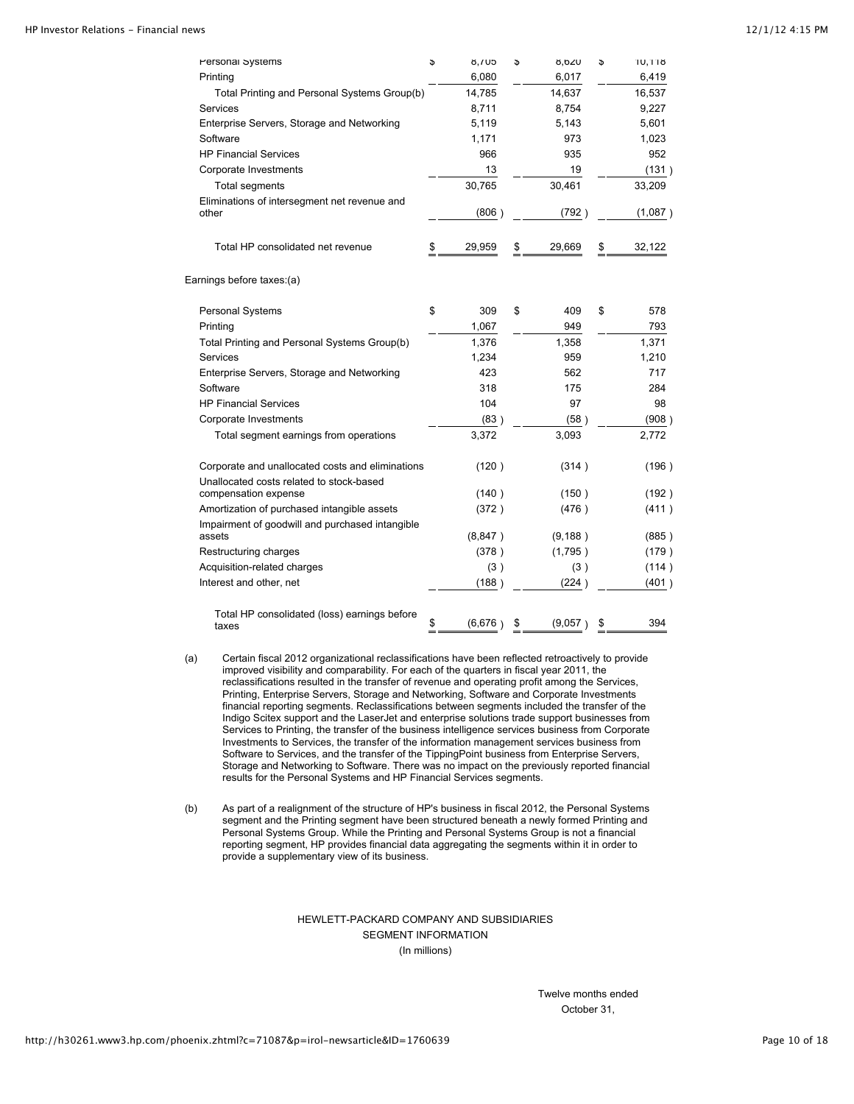## HP Investor Relations - Financial news 12/1/12 4:15 PM

| Φ                                                | ¢                                            | 0,0∠U                                                                                                                                                                                                                                            | ¢                                            | 10,118  |
|--------------------------------------------------|----------------------------------------------|--------------------------------------------------------------------------------------------------------------------------------------------------------------------------------------------------------------------------------------------------|----------------------------------------------|---------|
|                                                  |                                              | 6,017                                                                                                                                                                                                                                            |                                              | 6,419   |
|                                                  |                                              | 14,637                                                                                                                                                                                                                                           |                                              | 16,537  |
|                                                  |                                              | 8,754                                                                                                                                                                                                                                            |                                              | 9,227   |
|                                                  |                                              | 5,143                                                                                                                                                                                                                                            |                                              | 5,601   |
|                                                  |                                              | 973                                                                                                                                                                                                                                              |                                              | 1,023   |
|                                                  |                                              | 935                                                                                                                                                                                                                                              |                                              | 952     |
|                                                  |                                              | 19                                                                                                                                                                                                                                               |                                              | (131)   |
|                                                  |                                              | 30,461                                                                                                                                                                                                                                           |                                              | 33,209  |
|                                                  |                                              |                                                                                                                                                                                                                                                  |                                              |         |
|                                                  |                                              |                                                                                                                                                                                                                                                  |                                              | (1,087) |
| \$                                               | \$                                           | 29,669                                                                                                                                                                                                                                           | \$                                           | 32,122  |
|                                                  |                                              |                                                                                                                                                                                                                                                  |                                              |         |
| \$                                               | \$                                           | 409                                                                                                                                                                                                                                              | \$                                           | 578     |
|                                                  |                                              | 949                                                                                                                                                                                                                                              |                                              | 793     |
|                                                  |                                              | 1,358                                                                                                                                                                                                                                            |                                              | 1,371   |
|                                                  |                                              | 959                                                                                                                                                                                                                                              |                                              | 1,210   |
|                                                  |                                              | 562                                                                                                                                                                                                                                              |                                              | 717     |
|                                                  |                                              | 175                                                                                                                                                                                                                                              |                                              | 284     |
|                                                  |                                              | 97                                                                                                                                                                                                                                               |                                              | 98      |
|                                                  |                                              | (58)                                                                                                                                                                                                                                             |                                              | (908)   |
|                                                  |                                              | 3,093                                                                                                                                                                                                                                            |                                              | 2,772   |
|                                                  |                                              | (314)                                                                                                                                                                                                                                            |                                              | (196)   |
|                                                  |                                              | (150)                                                                                                                                                                                                                                            |                                              | (192)   |
|                                                  |                                              | (476)                                                                                                                                                                                                                                            |                                              | (411)   |
|                                                  |                                              |                                                                                                                                                                                                                                                  |                                              | (885)   |
|                                                  |                                              |                                                                                                                                                                                                                                                  |                                              | (179)   |
|                                                  |                                              |                                                                                                                                                                                                                                                  |                                              | (114)   |
|                                                  |                                              |                                                                                                                                                                                                                                                  |                                              | (401)   |
|                                                  |                                              |                                                                                                                                                                                                                                                  |                                              |         |
| \$                                               | \$                                           | (9,057)                                                                                                                                                                                                                                          | \$                                           | 394     |
| Corporate and unallocated costs and eliminations | Total Printing and Personal Systems Group(b) | 8,705<br>6,080<br>14,785<br>8,711<br>5,119<br>1,171<br>966<br>13<br>30,765<br>(806)<br>29,959<br>309<br>1,067<br>1,376<br>1,234<br>423<br>318<br>104<br>(83)<br>3,372<br>(120)<br>(140)<br>(372)<br>(8, 847)<br>(378)<br>(3)<br>(188)<br>(6,676) | (792)<br>(9, 188)<br>(1,795)<br>(3)<br>(224) |         |

(a) Certain fiscal 2012 organizational reclassifications have been reflected retroactively to provide improved visibility and comparability. For each of the quarters in fiscal year 2011, the reclassifications resulted in the transfer of revenue and operating profit among the Services, Printing, Enterprise Servers, Storage and Networking, Software and Corporate Investments financial reporting segments. Reclassifications between segments included the transfer of the Indigo Scitex support and the LaserJet and enterprise solutions trade support businesses from Services to Printing, the transfer of the business intelligence services business from Corporate Investments to Services, the transfer of the information management services business from Software to Services, and the transfer of the TippingPoint business from Enterprise Servers, Storage and Networking to Software. There was no impact on the previously reported financial results for the Personal Systems and HP Financial Services segments.

(b) As part of a realignment of the structure of HP's business in fiscal 2012, the Personal Systems segment and the Printing segment have been structured beneath a newly formed Printing and Personal Systems Group. While the Printing and Personal Systems Group is not a financial reporting segment, HP provides financial data aggregating the segments within it in order to provide a supplementary view of its business.

# HEWLETT-PACKARD COMPANY AND SUBSIDIARIES SEGMENT INFORMATION (In millions)

Twelve months ended October 31,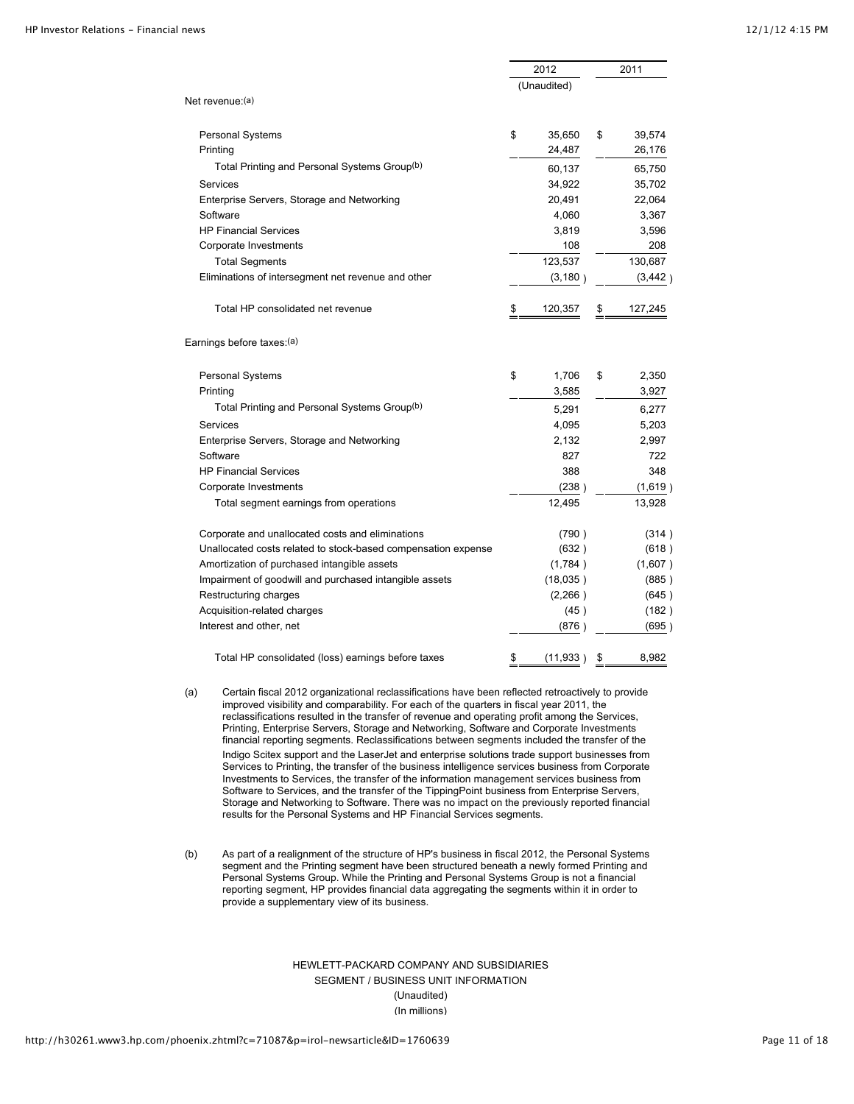|                                                               | 2012 |             | 2011         |
|---------------------------------------------------------------|------|-------------|--------------|
|                                                               |      | (Unaudited) |              |
| Net revenue:(a)                                               |      |             |              |
| <b>Personal Systems</b>                                       | \$   | 35,650      | \$<br>39,574 |
| Printing                                                      |      | 24,487      | 26,176       |
| Total Printing and Personal Systems Group(b)                  |      | 60,137      | 65,750       |
| Services                                                      |      | 34,922      | 35,702       |
| Enterprise Servers, Storage and Networking                    |      | 20,491      | 22,064       |
| Software                                                      |      | 4,060       | 3,367        |
| <b>HP Financial Services</b>                                  |      | 3,819       | 3,596        |
| Corporate Investments                                         |      | 108         | 208          |
| <b>Total Segments</b>                                         |      | 123,537     | 130,687      |
| Eliminations of intersegment net revenue and other            |      | (3, 180)    | (3, 442)     |
| Total HP consolidated net revenue                             | \$   | 120,357     | 127,245      |
| Earnings before taxes: (a)                                    |      |             |              |
| Personal Systems                                              | \$   | 1,706       | \$<br>2,350  |
| Printing                                                      |      | 3,585       | 3,927        |
| Total Printing and Personal Systems Group(b)                  |      | 5,291       | 6,277        |
| Services                                                      |      | 4,095       | 5,203        |
| Enterprise Servers, Storage and Networking                    |      | 2,132       | 2,997        |
| Software                                                      |      | 827         | 722          |
| <b>HP Financial Services</b>                                  |      | 388         | 348          |
| Corporate Investments                                         |      | (238)       | (1,619)      |
| Total segment earnings from operations                        |      | 12,495      | 13,928       |
| Corporate and unallocated costs and eliminations              |      | (790)       | (314)        |
| Unallocated costs related to stock-based compensation expense |      | (632)       | (618)        |
| Amortization of purchased intangible assets                   |      | (1,784)     | (1,607)      |
| Impairment of goodwill and purchased intangible assets        |      | (18,035)    | (885)        |
| Restructuring charges                                         |      | (2, 266)    | (645)        |
| Acquisition-related charges                                   |      | (45)        | (182)        |
| Interest and other, net                                       |      | (876)       | (695)        |
| Total HP consolidated (loss) earnings before taxes            | \$   | (11, 933)   | 8,982        |

- (a) Certain fiscal 2012 organizational reclassifications have been reflected retroactively to provide improved visibility and comparability. For each of the quarters in fiscal year 2011, the reclassifications resulted in the transfer of revenue and operating profit among the Services, Printing, Enterprise Servers, Storage and Networking, Software and Corporate Investments financial reporting segments. Reclassifications between segments included the transfer of the Indigo Scitex support and the LaserJet and enterprise solutions trade support businesses from Services to Printing, the transfer of the business intelligence services business from Corporate Investments to Services, the transfer of the information management services business from Software to Services, and the transfer of the TippingPoint business from Enterprise Servers, Storage and Networking to Software. There was no impact on the previously reported financial results for the Personal Systems and HP Financial Services segments.
- (b) As part of a realignment of the structure of HP's business in fiscal 2012, the Personal Systems segment and the Printing segment have been structured beneath a newly formed Printing and Personal Systems Group. While the Printing and Personal Systems Group is not a financial reporting segment, HP provides financial data aggregating the segments within it in order to provide a supplementary view of its business.

HEWLETT-PACKARD COMPANY AND SUBSIDIARIES SEGMENT / BUSINESS UNIT INFORMATION (Unaudited) (In millions)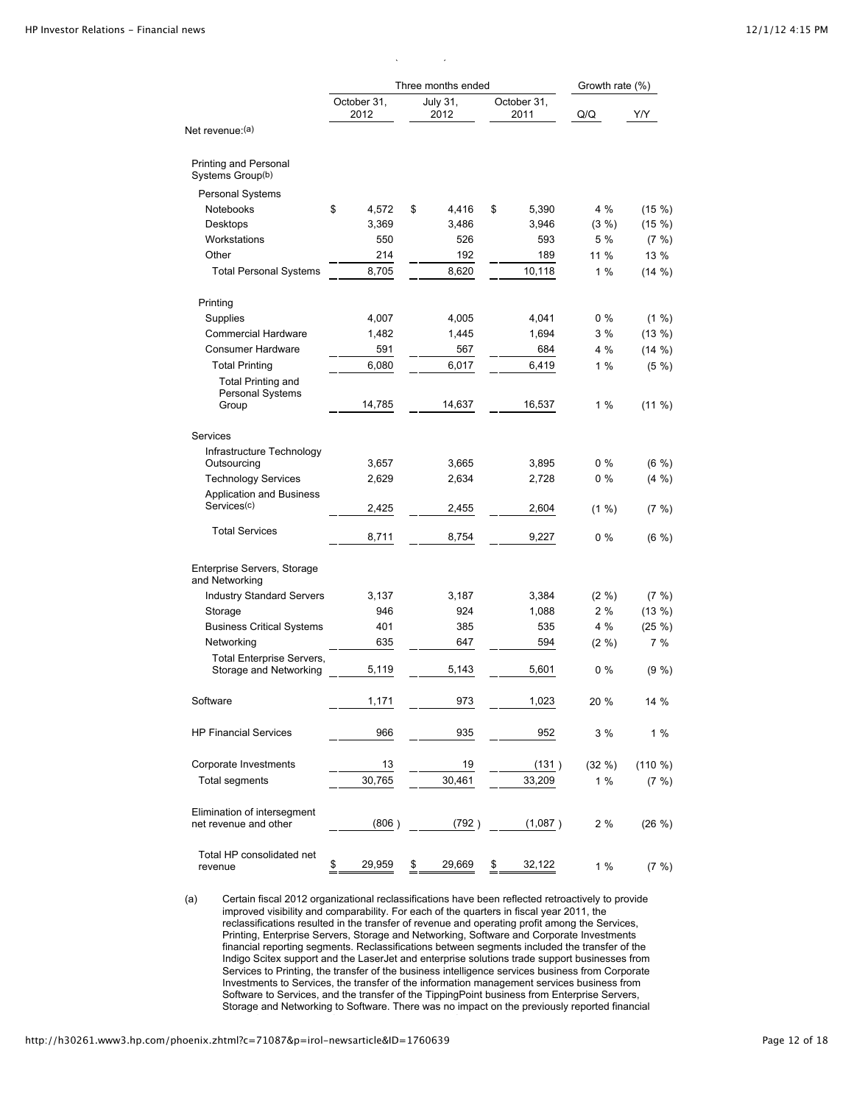|                                                            |                     | Three months ended |                     | Growth rate (%) |                   |  |
|------------------------------------------------------------|---------------------|--------------------|---------------------|-----------------|-------------------|--|
|                                                            | October 31,<br>2012 | July 31,<br>2012   | October 31,<br>2011 | Q/Q             | Y/Y               |  |
| Net revenue: $(a)$                                         |                     |                    |                     |                 |                   |  |
| Printing and Personal<br>Systems Group(b)                  |                     |                    |                     |                 |                   |  |
| <b>Personal Systems</b>                                    |                     |                    |                     |                 |                   |  |
| Notebooks                                                  | \$<br>4,572         | \$<br>4,416        | \$<br>5,390         | 4 %             | $(15 \%)$         |  |
| Desktops                                                   | 3,369               | 3,486              | 3,946               | $(3 \%)$        | $(15 \%)$         |  |
| Workstations                                               | 550                 | 526                | 593                 | 5 %             | $(7 \%)$          |  |
| Other                                                      | 214                 | 192                | 189                 | 11 %            | 13 %              |  |
| <b>Total Personal Systems</b>                              | 8,705               | 8,620              | 10,118              | 1%              | $(14 \%)$         |  |
| Printing                                                   |                     |                    |                     |                 |                   |  |
| Supplies                                                   | 4,007               | 4,005              | 4,041               | 0%              | $(1\% )$          |  |
| <b>Commercial Hardware</b>                                 | 1,482               | 1,445              | 1,694               | 3%              | $(13 \%)$         |  |
| <b>Consumer Hardware</b>                                   | 591                 | 567                | 684                 | 4%              | (14 %)            |  |
| <b>Total Printing</b>                                      | 6,080               | 6,017              | 6,419               | 1%              | $(5 \%)$          |  |
| <b>Total Printing and</b><br><b>Personal Systems</b>       |                     |                    |                     |                 |                   |  |
| Group                                                      | 14,785              | 14,637             | 16,537              | 1%              | $(11 \%)$         |  |
| Services                                                   |                     |                    |                     |                 |                   |  |
| Infrastructure Technology                                  |                     |                    |                     |                 |                   |  |
| Outsourcing                                                | 3,657               | 3,665              | 3,895               | $0\%$           | $(6 \frac{9}{6})$ |  |
| <b>Technology Services</b>                                 | 2,629               | 2,634              | 2,728               | $0\%$           | $(4 \frac{9}{6})$ |  |
| <b>Application and Business</b><br>Services <sup>(c)</sup> | 2,425               | 2,455              | 2,604               | (1 %)           | $(7 \%)$          |  |
| <b>Total Services</b>                                      | 8,711               | 8,754              | 9,227               | 0%              | $(6 \%)$          |  |
| Enterprise Servers, Storage<br>and Networking              |                     |                    |                     |                 |                   |  |
| <b>Industry Standard Servers</b>                           | 3,137               | 3,187              | 3,384               | $(2 \%)$        | $(7 \%)$          |  |
| Storage                                                    | 946                 | 924                | 1,088               | 2%              | $(13 \%)$         |  |
| <b>Business Critical Systems</b>                           | 401                 | 385                | 535                 | 4 %             | $(25 \%)$         |  |
| Networking                                                 | 635                 | 647                | 594                 | $(2 \%)$        | $7\%$             |  |
| <b>Total Enterprise Servers,</b><br>Storage and Networking | 5,119               | 5,143              | 5,601               | 0 %             | $(9 \%)$          |  |
| Software                                                   | 1,171               | 973                | 1,023               | 20 %            | 14 %              |  |
| <b>HP Financial Services</b>                               | 966                 | 935                | 952                 | 3 %             | 1%                |  |
| Corporate Investments                                      | 13                  | 19                 | (131)               | (32 %)          | $(110 \%)$        |  |
| Total segments                                             | 30,765              | 30,461             | 33,209              | 1%              | $(7 \%)$          |  |
| Elimination of intersegment                                |                     |                    |                     |                 |                   |  |
| net revenue and other                                      | (806)               | (792)              | (1,087)             | 2%              | $(26 \%)$         |  |
| Total HP consolidated net<br>revenue                       | \$<br>29,959        | \$<br>29,669       | \$<br>32,122        | 1 %             | $(7 \%)$          |  |

 $\mathbf{I}$  millions)

(a) Certain fiscal 2012 organizational reclassifications have been reflected retroactively to provide improved visibility and comparability. For each of the quarters in fiscal year 2011, the reclassifications resulted in the transfer of revenue and operating profit among the Services, Printing, Enterprise Servers, Storage and Networking, Software and Corporate Investments financial reporting segments. Reclassifications between segments included the transfer of the Indigo Scitex support and the LaserJet and enterprise solutions trade support businesses from Services to Printing, the transfer of the business intelligence services business from Corporate Investments to Services, the transfer of the information management services business from Software to Services, and the transfer of the TippingPoint business from Enterprise Servers, Storage and Networking to Software. There was no impact on the previously reported financial

results for the Personal Systems and HP Financial Services segments.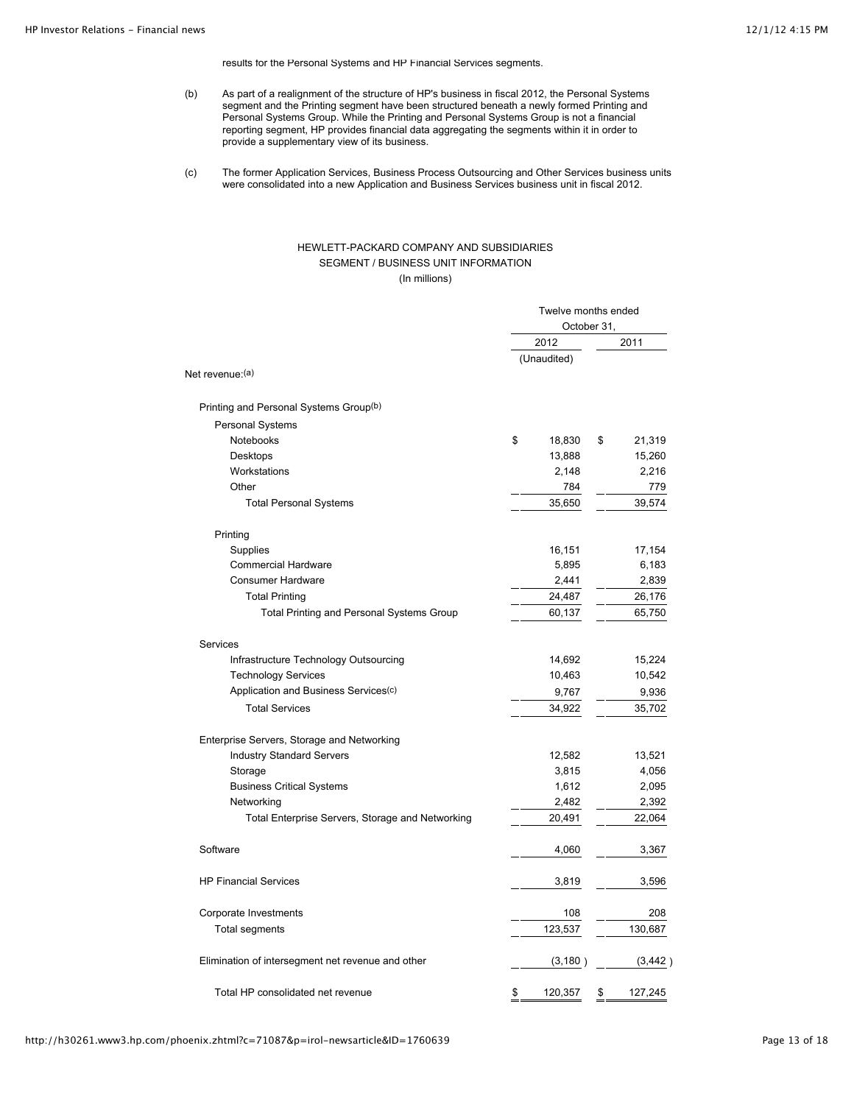results for the Personal Systems and HP Financial Services segments.

- (b) As part of a realignment of the structure of HP's business in fiscal 2012, the Personal Systems segment and the Printing segment have been structured beneath a newly formed Printing and Personal Systems Group. While the Printing and Personal Systems Group is not a financial reporting segment, HP provides financial data aggregating the segments within it in order to provide a supplementary view of its business.
- (c) The former Application Services, Business Process Outsourcing and Other Services business units were consolidated into a new Application and Business Services business unit in fiscal 2012.

## HEWLETT-PACKARD COMPANY AND SUBSIDIARIES SEGMENT / BUSINESS UNIT INFORMATION (In millions)

|                                                   | Twelve months ended |             |    |          |
|---------------------------------------------------|---------------------|-------------|----|----------|
|                                                   |                     | October 31, |    |          |
|                                                   |                     | 2012        |    | 2011     |
|                                                   |                     | (Unaudited) |    |          |
| Net revenue:(a)                                   |                     |             |    |          |
| Printing and Personal Systems Group(b)            |                     |             |    |          |
| <b>Personal Systems</b>                           |                     |             |    |          |
| Notebooks                                         | \$                  | 18,830      | \$ | 21,319   |
| Desktops                                          |                     | 13,888      |    | 15,260   |
| Workstations                                      |                     | 2,148       |    | 2,216    |
| Other                                             |                     | 784         |    | 779      |
| <b>Total Personal Systems</b>                     |                     | 35,650      |    | 39,574   |
| Printing                                          |                     |             |    |          |
| Supplies                                          |                     | 16,151      |    | 17,154   |
| <b>Commercial Hardware</b>                        |                     | 5,895       |    | 6,183    |
| <b>Consumer Hardware</b>                          |                     | 2,441       |    | 2,839    |
| <b>Total Printing</b>                             |                     | 24,487      |    | 26,176   |
| Total Printing and Personal Systems Group         |                     | 60,137      |    | 65,750   |
| Services                                          |                     |             |    |          |
| Infrastructure Technology Outsourcing             |                     | 14,692      |    | 15,224   |
| <b>Technology Services</b>                        |                     | 10,463      |    | 10,542   |
| Application and Business Services <sup>(c)</sup>  |                     | 9,767       |    | 9,936    |
| <b>Total Services</b>                             |                     | 34,922      |    | 35,702   |
| Enterprise Servers, Storage and Networking        |                     |             |    |          |
| Industry Standard Servers                         |                     | 12,582      |    | 13,521   |
| Storage                                           |                     | 3,815       |    | 4,056    |
| <b>Business Critical Systems</b>                  |                     | 1,612       |    | 2,095    |
| Networking                                        |                     | 2,482       |    | 2,392    |
| Total Enterprise Servers, Storage and Networking  |                     | 20,491      |    | 22,064   |
| Software                                          |                     | 4,060       |    | 3,367    |
| <b>HP Financial Services</b>                      |                     | 3,819       |    | 3,596    |
| Corporate Investments                             |                     | 108         |    | 208      |
| Total segments                                    |                     | 123,537     |    | 130,687  |
| Elimination of intersegment net revenue and other |                     | (3, 180)    |    | (3, 442) |
| Total HP consolidated net revenue                 | \$                  | 120,357     | \$ | 127,245  |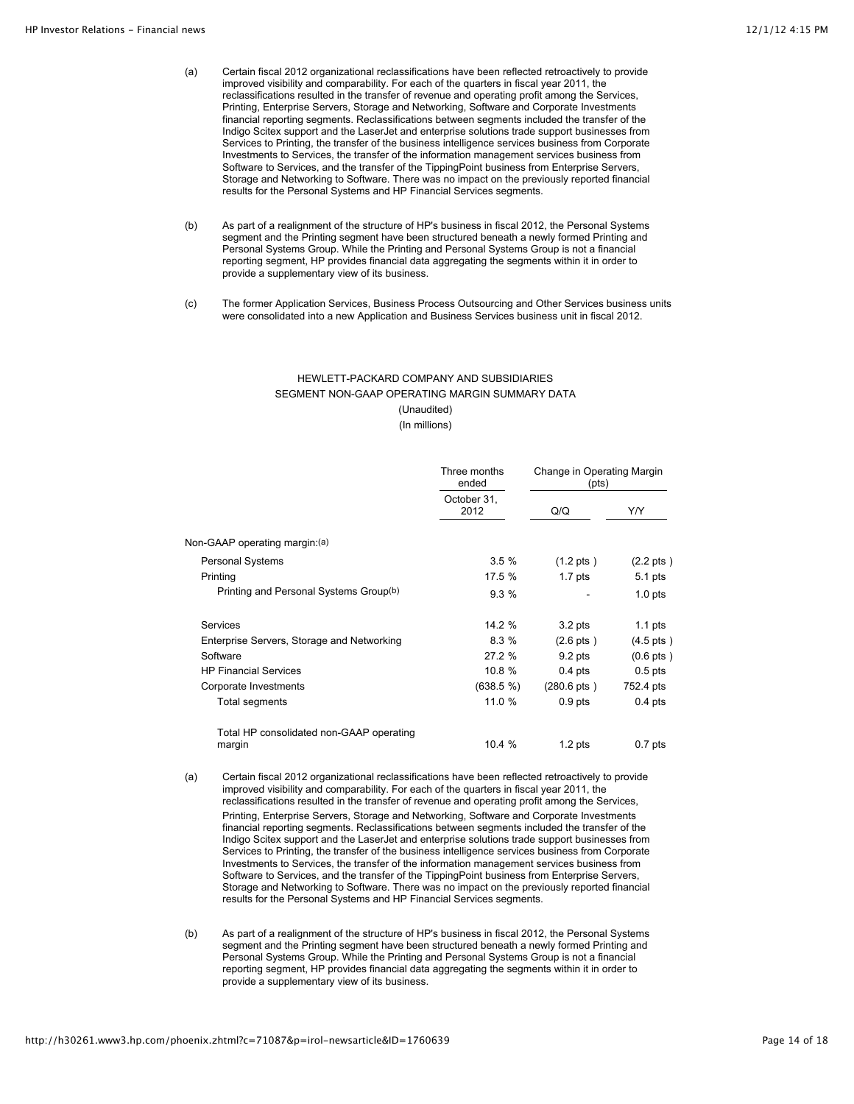- (a) Certain fiscal 2012 organizational reclassifications have been reflected retroactively to provide improved visibility and comparability. For each of the quarters in fiscal year 2011, the reclassifications resulted in the transfer of revenue and operating profit among the Services, Printing, Enterprise Servers, Storage and Networking, Software and Corporate Investments financial reporting segments. Reclassifications between segments included the transfer of the Indigo Scitex support and the LaserJet and enterprise solutions trade support businesses from Services to Printing, the transfer of the business intelligence services business from Corporate Investments to Services, the transfer of the information management services business from Software to Services, and the transfer of the TippingPoint business from Enterprise Servers, Storage and Networking to Software. There was no impact on the previously reported financial results for the Personal Systems and HP Financial Services segments.
- (b) As part of a realignment of the structure of HP's business in fiscal 2012, the Personal Systems segment and the Printing segment have been structured beneath a newly formed Printing and Personal Systems Group. While the Printing and Personal Systems Group is not a financial reporting segment, HP provides financial data aggregating the segments within it in order to provide a supplementary view of its business.
- (c) The former Application Services, Business Process Outsourcing and Other Services business units were consolidated into a new Application and Business Services business unit in fiscal 2012.

## HEWLETT-PACKARD COMPANY AND SUBSIDIARIES SEGMENT NON-GAAP OPERATING MARGIN SUMMARY DATA (Unaudited) (In millions)

|                                            | Three months<br>ended | Change in Operating Margin<br>(pts) |                     |
|--------------------------------------------|-----------------------|-------------------------------------|---------------------|
|                                            | October 31,<br>2012   | Q/Q                                 | Y/Y                 |
| Non-GAAP operating margin:(a)              |                       |                                     |                     |
| <b>Personal Systems</b>                    | 3.5%                  | $(1.2 \text{ pts})$                 | $(2.2 \text{ pts})$ |
| Printing                                   | 17.5 %                | $1.7$ pts                           | $5.1$ pts           |
| Printing and Personal Systems Group(b)     | 9.3%                  |                                     | $1.0$ pts           |
| Services                                   | 14.2 %                | $3.2$ pts                           | $1.1$ pts           |
| Enterprise Servers, Storage and Networking | 8.3%                  | $(2.6 \text{ pts})$                 | $(4.5 \text{ pts})$ |
| Software                                   | 27.2 %                | $9.2$ pts                           | $(0.6 \text{ pts})$ |
| <b>HP Financial Services</b>               | 10.8 %                | $0.4$ pts                           | $0.5$ pts           |
| Corporate Investments                      | (638.5%)              | $(280.6 \text{ pts})$               | 752.4 pts           |
| Total segments                             | 11.0 %                | $0.9$ pts                           | $0.4$ pts           |
| Total HP consolidated non-GAAP operating   |                       |                                     |                     |
| margin                                     | 10.4 %                | $1.2$ pts                           | $0.7$ pts           |

(a) Certain fiscal 2012 organizational reclassifications have been reflected retroactively to provide improved visibility and comparability. For each of the quarters in fiscal year 2011, the reclassifications resulted in the transfer of revenue and operating profit among the Services, Printing, Enterprise Servers, Storage and Networking, Software and Corporate Investments financial reporting segments. Reclassifications between segments included the transfer of the Indigo Scitex support and the LaserJet and enterprise solutions trade support businesses from Services to Printing, the transfer of the business intelligence services business from Corporate Investments to Services, the transfer of the information management services business from Software to Services, and the transfer of the TippingPoint business from Enterprise Servers, Storage and Networking to Software. There was no impact on the previously reported financial results for the Personal Systems and HP Financial Services segments.

(b) As part of a realignment of the structure of HP's business in fiscal 2012, the Personal Systems segment and the Printing segment have been structured beneath a newly formed Printing and Personal Systems Group. While the Printing and Personal Systems Group is not a financial reporting segment, HP provides financial data aggregating the segments within it in order to provide a supplementary view of its business.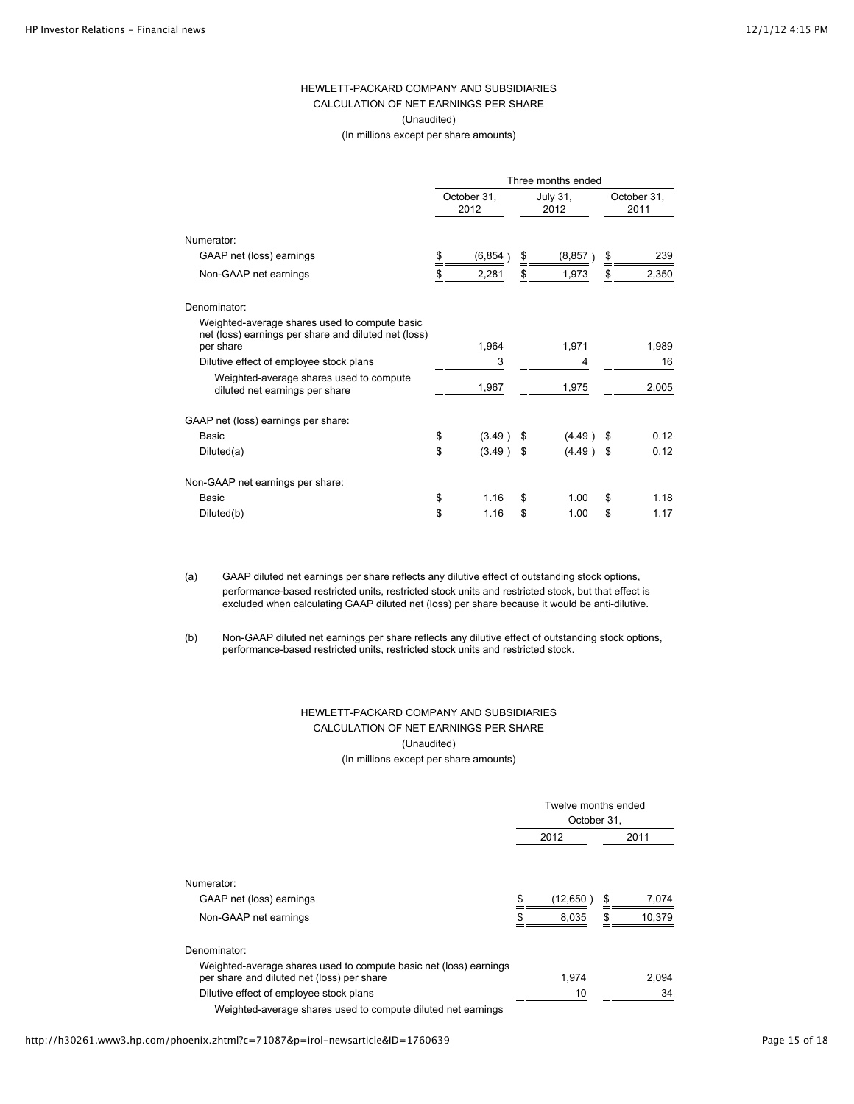## HEWLETT-PACKARD COMPANY AND SUBSIDIARIES CALCULATION OF NET EARNINGS PER SHARE (Unaudited) (In millions except per share amounts)

|                                                                                                                    | Three months ended |                             |    |             |                     |
|--------------------------------------------------------------------------------------------------------------------|--------------------|-----------------------------|----|-------------|---------------------|
|                                                                                                                    |                    | October 31,<br>2012<br>2012 |    | July 31,    | October 31,<br>2011 |
| Numerator:                                                                                                         |                    |                             |    |             |                     |
| GAAP net (loss) earnings                                                                                           | \$                 | (6, 854)                    | \$ | (8, 857)    | \$<br>239           |
| Non-GAAP net earnings                                                                                              | \$                 | 2,281                       | \$ | 1,973       | \$<br>2,350         |
| Denominator:                                                                                                       |                    |                             |    |             |                     |
| Weighted-average shares used to compute basic<br>net (loss) earnings per share and diluted net (loss)<br>per share |                    | 1,964                       |    | 1,971       | 1,989               |
| Dilutive effect of employee stock plans                                                                            |                    | 3                           |    | 4           | 16                  |
| Weighted-average shares used to compute<br>diluted net earnings per share                                          |                    | 1.967                       |    | 1.975       | 2,005               |
| GAAP net (loss) earnings per share:                                                                                |                    |                             |    |             |                     |
| Basic                                                                                                              | \$                 | (3.49)                      | \$ | (4.49)      | \$<br>0.12          |
| Diluted(a)                                                                                                         | \$                 | (3.49)                      | \$ | $(4.49)$ \$ | 0.12                |
| Non-GAAP net earnings per share:                                                                                   |                    |                             |    |             |                     |
| Basic                                                                                                              | \$                 | 1.16                        | \$ | 1.00        | \$<br>1.18          |
| Diluted(b)                                                                                                         | \$                 | 1.16                        | \$ | 1.00        | \$<br>1.17          |

(a) GAAP diluted net earnings per share reflects any dilutive effect of outstanding stock options, performance-based restricted units, restricted stock units and restricted stock, but that effect is excluded when calculating GAAP diluted net (loss) per share because it would be anti-dilutive.

(b) Non-GAAP diluted net earnings per share reflects any dilutive effect of outstanding stock options, performance-based restricted units, restricted stock units and restricted stock.

# HEWLETT-PACKARD COMPANY AND SUBSIDIARIES CALCULATION OF NET EARNINGS PER SHARE (Unaudited)

(In millions except per share amounts)

|                                                                                                                 | Twelve months ended<br>October 31, |          |      |        |
|-----------------------------------------------------------------------------------------------------------------|------------------------------------|----------|------|--------|
|                                                                                                                 | 2012                               |          | 2011 |        |
| Numerator:                                                                                                      |                                    |          |      |        |
| GAAP net (loss) earnings                                                                                        |                                    | (12,650) | S    | 7,074  |
| Non-GAAP net earnings                                                                                           |                                    | 8,035    | \$   | 10,379 |
| Denominator:                                                                                                    |                                    |          |      |        |
| Weighted-average shares used to compute basic net (loss) earnings<br>per share and diluted net (loss) per share |                                    | 1.974    |      | 2,094  |
| Dilutive effect of employee stock plans                                                                         |                                    | 10       |      | 34     |
| Weighted-average shares used to compute diluted net earnings                                                    |                                    |          |      |        |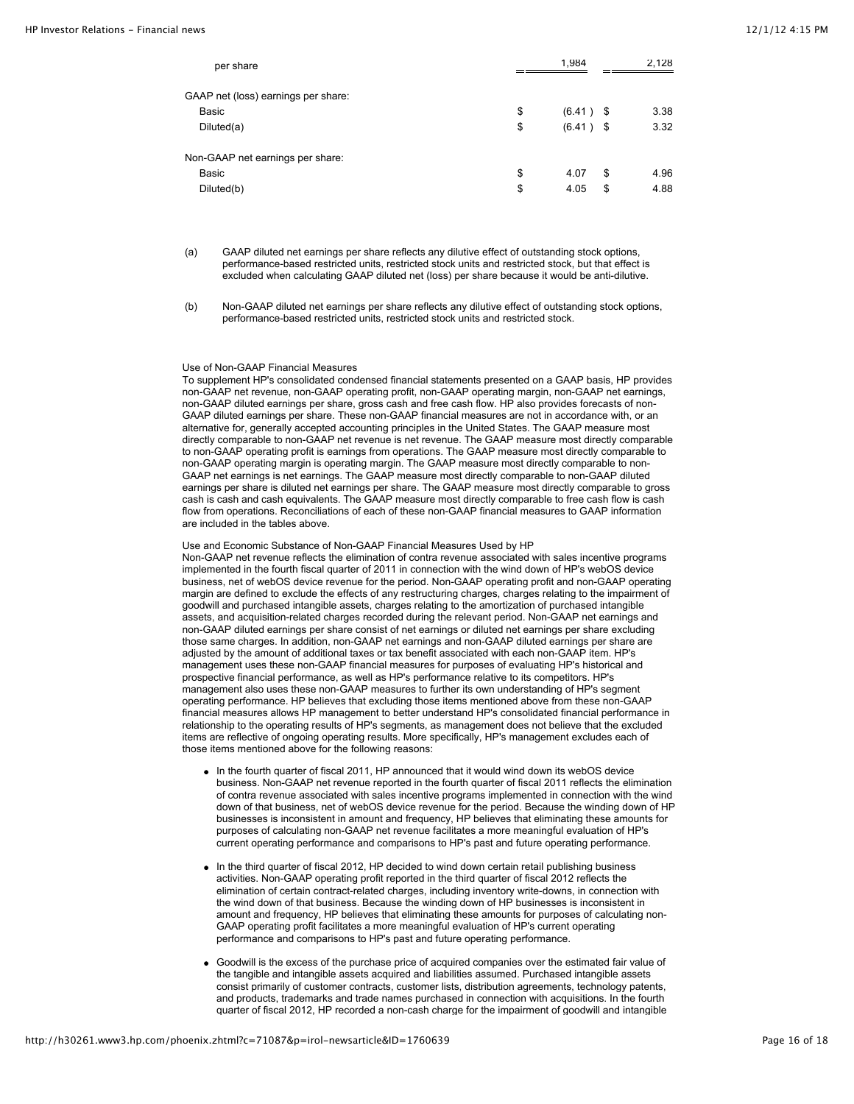| per share                           | 1.984             | 2.128      |
|-------------------------------------|-------------------|------------|
| GAAP net (loss) earnings per share: |                   |            |
| Basic                               | \$<br>$(6.41)$ \$ | 3.38       |
| Diluted(a)                          | \$<br>$(6.41)$ \$ | 3.32       |
| Non-GAAP net earnings per share:    |                   |            |
| Basic                               | \$<br>4.07        | \$<br>4.96 |
| Diluted(b)                          | \$<br>4.05        | \$<br>4.88 |
|                                     |                   |            |

(a) GAAP diluted net earnings per share reflects any dilutive effect of outstanding stock options, performance-based restricted units, restricted stock units and restricted stock, but that effect is excluded when calculating GAAP diluted net (loss) per share because it would be anti-dilutive.

(b) Non-GAAP diluted net earnings per share reflects any dilutive effect of outstanding stock options, performance-based restricted units, restricted stock units and restricted stock.

## Use of Non-GAAP Financial Measures

To supplement HP's consolidated condensed financial statements presented on a GAAP basis, HP provides non-GAAP net revenue, non-GAAP operating profit, non-GAAP operating margin, non-GAAP net earnings, non-GAAP diluted earnings per share, gross cash and free cash flow. HP also provides forecasts of non-GAAP diluted earnings per share. These non-GAAP financial measures are not in accordance with, or an alternative for, generally accepted accounting principles in the United States. The GAAP measure most directly comparable to non-GAAP net revenue is net revenue. The GAAP measure most directly comparable to non-GAAP operating profit is earnings from operations. The GAAP measure most directly comparable to non-GAAP operating margin is operating margin. The GAAP measure most directly comparable to non-GAAP net earnings is net earnings. The GAAP measure most directly comparable to non-GAAP diluted earnings per share is diluted net earnings per share. The GAAP measure most directly comparable to gross cash is cash and cash equivalents. The GAAP measure most directly comparable to free cash flow is cash flow from operations. Reconciliations of each of these non-GAAP financial measures to GAAP information are included in the tables above.

Use and Economic Substance of Non-GAAP Financial Measures Used by HP Non-GAAP net revenue reflects the elimination of contra revenue associated with sales incentive programs implemented in the fourth fiscal quarter of 2011 in connection with the wind down of HP's webOS device business, net of webOS device revenue for the period. Non-GAAP operating profit and non-GAAP operating margin are defined to exclude the effects of any restructuring charges, charges relating to the impairment of goodwill and purchased intangible assets, charges relating to the amortization of purchased intangible assets, and acquisition-related charges recorded during the relevant period. Non-GAAP net earnings and non-GAAP diluted earnings per share consist of net earnings or diluted net earnings per share excluding those same charges. In addition, non-GAAP net earnings and non-GAAP diluted earnings per share are adjusted by the amount of additional taxes or tax benefit associated with each non-GAAP item. HP's management uses these non-GAAP financial measures for purposes of evaluating HP's historical and prospective financial performance, as well as HP's performance relative to its competitors. HP's management also uses these non-GAAP measures to further its own understanding of HP's segment operating performance. HP believes that excluding those items mentioned above from these non-GAAP financial measures allows HP management to better understand HP's consolidated financial performance in relationship to the operating results of HP's segments, as management does not believe that the excluded items are reflective of ongoing operating results. More specifically, HP's management excludes each of those items mentioned above for the following reasons:

- In the fourth quarter of fiscal 2011, HP announced that it would wind down its webOS device business. Non-GAAP net revenue reported in the fourth quarter of fiscal 2011 reflects the elimination of contra revenue associated with sales incentive programs implemented in connection with the wind down of that business, net of webOS device revenue for the period. Because the winding down of HP businesses is inconsistent in amount and frequency, HP believes that eliminating these amounts for purposes of calculating non-GAAP net revenue facilitates a more meaningful evaluation of HP's current operating performance and comparisons to HP's past and future operating performance.
- In the third quarter of fiscal 2012, HP decided to wind down certain retail publishing business activities. Non-GAAP operating profit reported in the third quarter of fiscal 2012 reflects the elimination of certain contract-related charges, including inventory write-downs, in connection with the wind down of that business. Because the winding down of HP businesses is inconsistent in amount and frequency, HP believes that eliminating these amounts for purposes of calculating non-GAAP operating profit facilitates a more meaningful evaluation of HP's current operating performance and comparisons to HP's past and future operating performance.
- Goodwill is the excess of the purchase price of acquired companies over the estimated fair value of the tangible and intangible assets acquired and liabilities assumed. Purchased intangible assets consist primarily of customer contracts, customer lists, distribution agreements, technology patents, and products, trademarks and trade names purchased in connection with acquisitions. In the fourth quarter of fiscal 2012, HP recorded a non-cash charge for the impairment of goodwill and intangible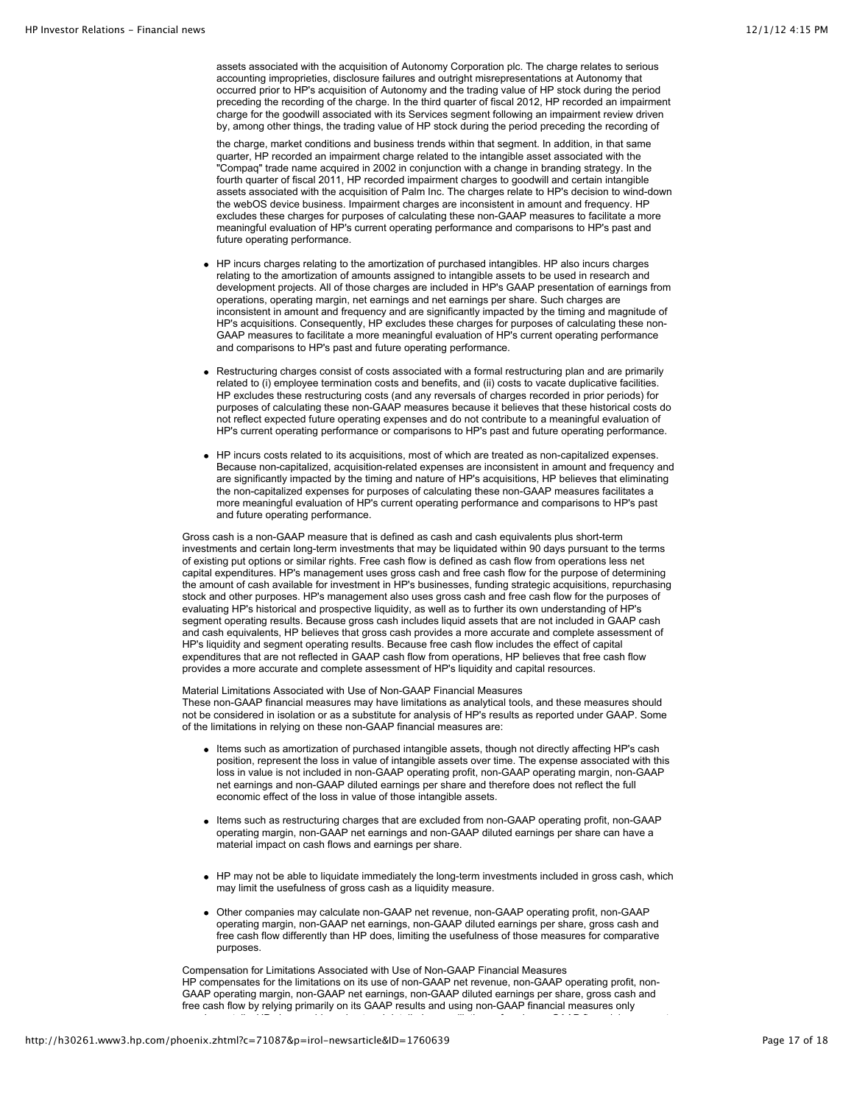assets associated with the acquisition of Autonomy Corporation plc. The charge relates to serious accounting improprieties, disclosure failures and outright misrepresentations at Autonomy that occurred prior to HP's acquisition of Autonomy and the trading value of HP stock during the period preceding the recording of the charge. In the third quarter of fiscal 2012, HP recorded an impairment charge for the goodwill associated with its Services segment following an impairment review driven by, among other things, the trading value of HP stock during the period preceding the recording of

the charge, market conditions and business trends within that segment. In addition, in that same quarter, HP recorded an impairment charge related to the intangible asset associated with the "Compaq" trade name acquired in 2002 in conjunction with a change in branding strategy. In the fourth quarter of fiscal 2011, HP recorded impairment charges to goodwill and certain intangible assets associated with the acquisition of Palm Inc. The charges relate to HP's decision to wind-down the webOS device business. Impairment charges are inconsistent in amount and frequency. HP excludes these charges for purposes of calculating these non-GAAP measures to facilitate a more meaningful evaluation of HP's current operating performance and comparisons to HP's past and future operating performance.

- HP incurs charges relating to the amortization of purchased intangibles. HP also incurs charges relating to the amortization of amounts assigned to intangible assets to be used in research and development projects. All of those charges are included in HP's GAAP presentation of earnings from operations, operating margin, net earnings and net earnings per share. Such charges are inconsistent in amount and frequency and are significantly impacted by the timing and magnitude of HP's acquisitions. Consequently, HP excludes these charges for purposes of calculating these non-GAAP measures to facilitate a more meaningful evaluation of HP's current operating performance and comparisons to HP's past and future operating performance.
- Restructuring charges consist of costs associated with a formal restructuring plan and are primarily related to (i) employee termination costs and benefits, and (ii) costs to vacate duplicative facilities. HP excludes these restructuring costs (and any reversals of charges recorded in prior periods) for purposes of calculating these non-GAAP measures because it believes that these historical costs do not reflect expected future operating expenses and do not contribute to a meaningful evaluation of HP's current operating performance or comparisons to HP's past and future operating performance.
- HP incurs costs related to its acquisitions, most of which are treated as non-capitalized expenses. Because non-capitalized, acquisition-related expenses are inconsistent in amount and frequency and are significantly impacted by the timing and nature of HP's acquisitions, HP believes that eliminating the non-capitalized expenses for purposes of calculating these non-GAAP measures facilitates a more meaningful evaluation of HP's current operating performance and comparisons to HP's past and future operating performance.

Gross cash is a non-GAAP measure that is defined as cash and cash equivalents plus short-term investments and certain long-term investments that may be liquidated within 90 days pursuant to the terms of existing put options or similar rights. Free cash flow is defined as cash flow from operations less net capital expenditures. HP's management uses gross cash and free cash flow for the purpose of determining the amount of cash available for investment in HP's businesses, funding strategic acquisitions, repurchasing stock and other purposes. HP's management also uses gross cash and free cash flow for the purposes of evaluating HP's historical and prospective liquidity, as well as to further its own understanding of HP's segment operating results. Because gross cash includes liquid assets that are not included in GAAP cash and cash equivalents, HP believes that gross cash provides a more accurate and complete assessment of HP's liquidity and segment operating results. Because free cash flow includes the effect of capital expenditures that are not reflected in GAAP cash flow from operations, HP believes that free cash flow provides a more accurate and complete assessment of HP's liquidity and capital resources.

Material Limitations Associated with Use of Non-GAAP Financial Measures These non-GAAP financial measures may have limitations as analytical tools, and these measures should not be considered in isolation or as a substitute for analysis of HP's results as reported under GAAP. Some of the limitations in relying on these non-GAAP financial measures are:

- Items such as amortization of purchased intangible assets, though not directly affecting HP's cash position, represent the loss in value of intangible assets over time. The expense associated with this loss in value is not included in non-GAAP operating profit, non-GAAP operating margin, non-GAAP net earnings and non-GAAP diluted earnings per share and therefore does not reflect the full economic effect of the loss in value of those intangible assets.
- Items such as restructuring charges that are excluded from non-GAAP operating profit, non-GAAP operating margin, non-GAAP net earnings and non-GAAP diluted earnings per share can have a material impact on cash flows and earnings per share.
- HP may not be able to liquidate immediately the long-term investments included in gross cash, which may limit the usefulness of gross cash as a liquidity measure.
- Other companies may calculate non-GAAP net revenue, non-GAAP operating profit, non-GAAP operating margin, non-GAAP net earnings, non-GAAP diluted earnings per share, gross cash and free cash flow differently than HP does, limiting the usefulness of those measures for comparative purposes.

Compensation for Limitations Associated with Use of Non-GAAP Financial Measures HP compensates for the limitations on its use of non-GAAP net revenue, non-GAAP operating profit, non-GAAP operating margin, non-GAAP net earnings, non-GAAP diluted earnings per share, gross cash and free cash flow by relying primarily on its GAAP results and using non-GAAP financial measures only supplementally. HP also provides robust and detailed reconciliations of each non-GAAP financial measure to